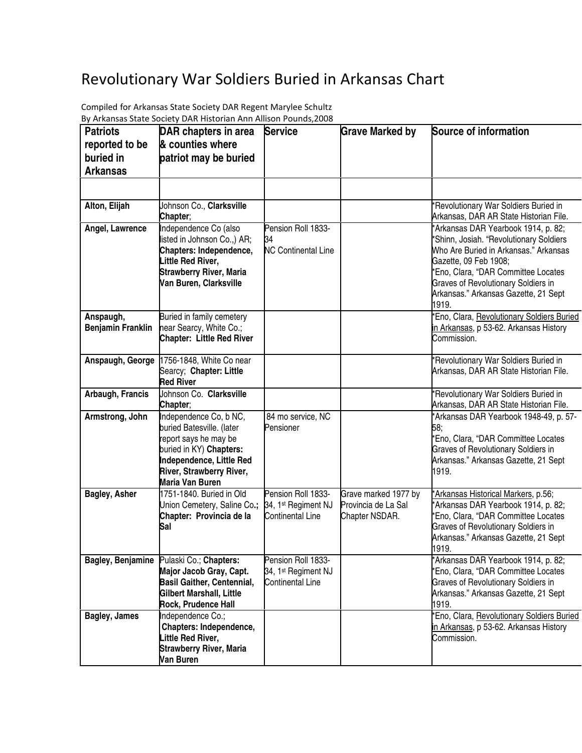## Revolutionary War Soldiers Buried in Arkansas Chart

| <b>Patriots</b>          | DAR chapters in area                               | <b>Service</b>                  | <b>Grave Marked by</b> | Source of information                                                                |
|--------------------------|----------------------------------------------------|---------------------------------|------------------------|--------------------------------------------------------------------------------------|
| reported to be           | & counties where                                   |                                 |                        |                                                                                      |
| buried in                | patriot may be buried                              |                                 |                        |                                                                                      |
| <b>Arkansas</b>          |                                                    |                                 |                        |                                                                                      |
|                          |                                                    |                                 |                        |                                                                                      |
|                          |                                                    |                                 |                        |                                                                                      |
| Alton, Elijah            | Johnson Co., Clarksville                           |                                 |                        | 'Revolutionary War Soldiers Buried in                                                |
|                          | Chapter;                                           |                                 |                        | Arkansas, DAR AR State Historian File.                                               |
| Angel, Lawrence          | Independence Co (also                              | Pension Roll 1833-              |                        | 'Arkansas DAR Yearbook 1914, p. 82;                                                  |
|                          | listed in Johnson Co.,) AR;                        | 34                              |                        | 'Shinn, Josiah. "Revolutionary Soldiers                                              |
|                          | Chapters: Independence,<br>Little Red River,       | <b>NC Continental Line</b>      |                        | Who Are Buried in Arkansas." Arkansas<br>Gazette, 09 Feb 1908;                       |
|                          | <b>Strawberry River, Maria</b>                     |                                 |                        | *Eno, Clara, "DAR Committee Locates                                                  |
|                          | Van Buren, Clarksville                             |                                 |                        | <b>Graves of Revolutionary Soldiers in</b>                                           |
|                          |                                                    |                                 |                        | Arkansas." Arkansas Gazette, 21 Sept                                                 |
|                          |                                                    |                                 |                        | 1919.                                                                                |
| Anspaugh,                | Buried in family cemetery                          |                                 |                        | Eno, Clara, Revolutionary Soldiers Buried                                            |
| <b>Benjamin Franklin</b> | near Searcy, White Co.;                            |                                 |                        | in Arkansas, p 53-62. Arkansas History                                               |
|                          | <b>Chapter: Little Red River</b>                   |                                 |                        | Commission.                                                                          |
|                          | Anspaugh, George 1756-1848, White Co near          |                                 |                        | 'Revolutionary War Soldiers Buried in                                                |
|                          | Searcy; Chapter: Little                            |                                 |                        | Arkansas, DAR AR State Historian File.                                               |
|                          | <b>Red River</b>                                   |                                 |                        |                                                                                      |
| Arbaugh, Francis         | Johnson Co. Clarksville                            |                                 |                        | *Revolutionary War Soldiers Buried in                                                |
|                          | Chapter;                                           |                                 |                        | Arkansas, DAR AR State Historian File.                                               |
| Armstrong, John          | Independence Co, b NC,                             | 84 mo service, NC               |                        | Arkansas DAR Yearbook 1948-49, p. 57-                                                |
|                          | buried Batesville. (later<br>report says he may be | Pensioner                       |                        | 58;<br>'Eno, Clara, "DAR Committee Locates                                           |
|                          | buried in KY) Chapters:                            |                                 |                        | <b>Graves of Revolutionary Soldiers in</b>                                           |
|                          | Independence, Little Red                           |                                 |                        | Arkansas." Arkansas Gazette, 21 Sept                                                 |
|                          | River, Strawberry River,                           |                                 |                        | 1919.                                                                                |
|                          | Maria Van Buren                                    |                                 |                        |                                                                                      |
| Bagley, Asher            | 1751-1840. Buried in Old                           | Pension Roll 1833-              | Grave marked 1977 by   | Arkansas Historical Markers, p.56;                                                   |
|                          | Union Cemetery, Saline Co.;                        | 34, 1 <sup>st</sup> Regiment NJ | Provincia de La Sal    | 'Arkansas DAR Yearbook 1914, p. 82;                                                  |
|                          | Chapter: Provincia de la<br>Sal                    | Continental Line                | Chapter NSDAR.         | Eno, Clara, "DAR Committee Locates<br><b>Graves of Revolutionary Soldiers in</b>     |
|                          |                                                    |                                 |                        | Arkansas." Arkansas Gazette, 21 Sept                                                 |
|                          |                                                    |                                 |                        | 1919.                                                                                |
| <b>Bagley, Benjamine</b> | Pulaski Co.; Chapters:                             | Pension Roll 1833-              |                        | 'Arkansas DAR Yearbook 1914, p. 82;                                                  |
|                          | Major Jacob Gray, Capt.                            | 34, 1 <sup>st</sup> Regiment NJ |                        | 'Eno, Clara, "DAR Committee Locates                                                  |
|                          | <b>Basil Gaither, Centennial,</b>                  | <b>Continental Line</b>         |                        | <b>Graves of Revolutionary Soldiers in</b>                                           |
|                          | Gilbert Marshall, Little                           |                                 |                        | Arkansas." Arkansas Gazette, 21 Sept                                                 |
| <b>Bagley, James</b>     | <b>Rock, Prudence Hall</b><br>Independence Co.;    |                                 |                        | 1919.                                                                                |
|                          | Chapters: Independence,                            |                                 |                        | 'Eno, Clara, Revolutionary Soldiers Buried<br>in Arkansas, p 53-62. Arkansas History |
|                          | Little Red River,                                  |                                 |                        | Commission.                                                                          |
|                          | <b>Strawberry River, Maria</b>                     |                                 |                        |                                                                                      |
|                          | Van Buren                                          |                                 |                        |                                                                                      |

By Arkansas State Society DAR Historian Ann Allison Pounds,2008 Compiled for Arkansas State Society DAR Regent Marylee Schultz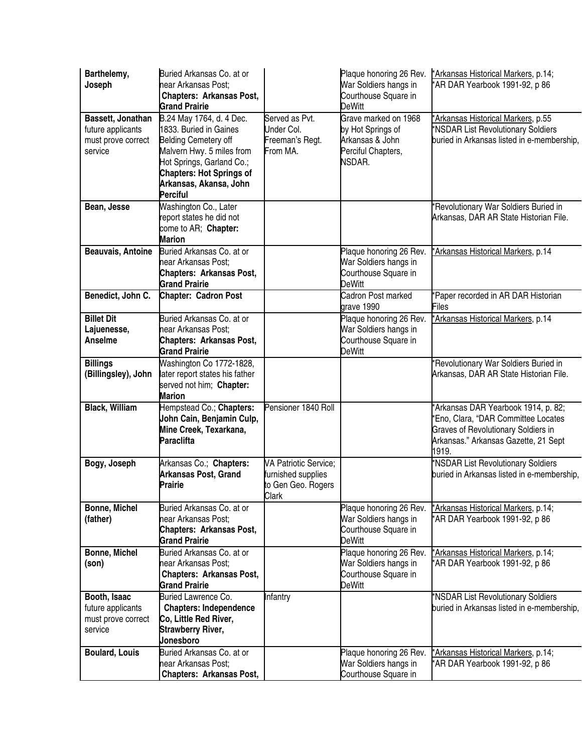| Barthelemy,<br>Joseph                                                   | Buried Arkansas Co. at or<br>near Arkansas Post;<br><b>Chapters: Arkansas Post,</b><br><b>Grand Prairie</b>                                                                                                                 |                                                                                   | Plaque honoring 26 Rev.<br>War Soldiers hangs in<br>Courthouse Square in<br><b>DeWitt</b>    | *Arkansas Historical Markers, p.14;<br>*AR DAR Yearbook 1991-92, p 86                                                                                                     |
|-------------------------------------------------------------------------|-----------------------------------------------------------------------------------------------------------------------------------------------------------------------------------------------------------------------------|-----------------------------------------------------------------------------------|----------------------------------------------------------------------------------------------|---------------------------------------------------------------------------------------------------------------------------------------------------------------------------|
| Bassett, Jonathan<br>future applicants<br>must prove correct<br>service | B.24 May 1764, d. 4 Dec.<br>1833. Buried in Gaines<br><b>Belding Cemetery off</b><br>Malvern Hwy. 5 miles from<br>Hot Springs, Garland Co.;<br><b>Chapters: Hot Springs of</b><br>Arkansas, Akansa, John<br><b>Perciful</b> | Served as Pvt.<br>Under Col.<br>Freeman's Regt.<br>From MA.                       | Grave marked on 1968<br>by Hot Springs of<br>Arkansas & John<br>Perciful Chapters,<br>NSDAR. | *Arkansas Historical Markers, p.55<br>*NSDAR List Revolutionary Soldiers<br>buried in Arkansas listed in e-membership,                                                    |
| Bean, Jesse                                                             | Washington Co., Later<br>report states he did not<br>come to AR; Chapter:<br><b>Marion</b>                                                                                                                                  |                                                                                   |                                                                                              | *Revolutionary War Soldiers Buried in<br>Arkansas, DAR AR State Historian File.                                                                                           |
| <b>Beauvais, Antoine</b>                                                | Buried Arkansas Co. at or<br>near Arkansas Post;<br>Chapters: Arkansas Post,<br><b>Grand Prairie</b>                                                                                                                        |                                                                                   | Plaque honoring 26 Rev.<br>War Soldiers hangs in<br>Courthouse Square in<br><b>DeWitt</b>    | *Arkansas Historical Markers, p.14                                                                                                                                        |
| Benedict, John C.                                                       | <b>Chapter: Cadron Post</b>                                                                                                                                                                                                 |                                                                                   | Cadron Post marked<br>grave 1990                                                             | Paper recorded in AR DAR Historian<br>Files                                                                                                                               |
| <b>Billet Dit</b><br>Lajuenesse,<br>Anselme                             | Buried Arkansas Co. at or<br>near Arkansas Post;<br>Chapters: Arkansas Post,<br><b>Grand Prairie</b>                                                                                                                        |                                                                                   | Plaque honoring 26 Rev.<br>War Soldiers hangs in<br>Courthouse Square in<br><b>DeWitt</b>    | *Arkansas Historical Markers, p.14                                                                                                                                        |
| <b>Billings</b><br>(Billingsley), John                                  | Washington Co 1772-1828,<br>ater report states his father<br>served not him; Chapter:<br><b>Marion</b>                                                                                                                      |                                                                                   |                                                                                              | *Revolutionary War Soldiers Buried in<br>Arkansas, DAR AR State Historian File.                                                                                           |
| <b>Black, William</b>                                                   | Hempstead Co.; Chapters:<br>John Cain, Benjamin Culp,<br>Mine Creek, Texarkana,<br>Paraclifta                                                                                                                               | Pensioner 1840 Roll                                                               |                                                                                              | *Arkansas DAR Yearbook 1914, p. 82;<br>'Eno, Clara, "DAR Committee Locates<br><b>Graves of Revolutionary Soldiers in</b><br>Arkansas." Arkansas Gazette, 21 Sept<br>1919. |
| Bogy, Joseph                                                            | Arkansas Co.; Chapters:<br><b>Arkansas Post, Grand</b><br>Prairie                                                                                                                                                           | <b>VA Patriotic Service;</b><br>furnished supplies<br>to Gen Geo. Rogers<br>Clark |                                                                                              | *NSDAR List Revolutionary Soldiers<br>buried in Arkansas listed in e-membership,                                                                                          |
| <b>Bonne, Michel</b><br>(father)                                        | Buried Arkansas Co. at or<br>near Arkansas Post;<br>Chapters: Arkansas Post,<br><b>Grand Prairie</b>                                                                                                                        |                                                                                   | Plaque honoring 26 Rev.<br>War Soldiers hangs in<br>Courthouse Square in<br>DeWitt           | *Arkansas Historical Markers, p.14;<br>*AR DAR Yearbook 1991-92, p 86                                                                                                     |
| Bonne, Michel<br>(son)                                                  | Buried Arkansas Co. at or<br>near Arkansas Post;<br><b>Chapters: Arkansas Post,</b><br><b>Grand Prairie</b>                                                                                                                 |                                                                                   | Plaque honoring 26 Rev.<br>War Soldiers hangs in<br>Courthouse Square in<br>DeWitt           | *Arkansas Historical Markers, p.14;<br>*AR DAR Yearbook 1991-92, p 86                                                                                                     |
| Booth, Isaac<br>future applicants<br>must prove correct<br>service      | <b>Buried Lawrence Co.</b><br><b>Chapters: Independence</b><br>Co, Little Red River,<br><b>Strawberry River,</b><br><b>Jonesboro</b>                                                                                        | Infantry                                                                          |                                                                                              | *NSDAR List Revolutionary Soldiers<br>buried in Arkansas listed in e-membership,                                                                                          |
| <b>Boulard, Louis</b>                                                   | Buried Arkansas Co. at or<br>near Arkansas Post;<br><b>Chapters: Arkansas Post,</b>                                                                                                                                         |                                                                                   | Plaque honoring 26 Rev.<br>War Soldiers hangs in<br>Courthouse Square in                     | *Arkansas Historical Markers, p.14;<br>*AR DAR Yearbook 1991-92, p 86                                                                                                     |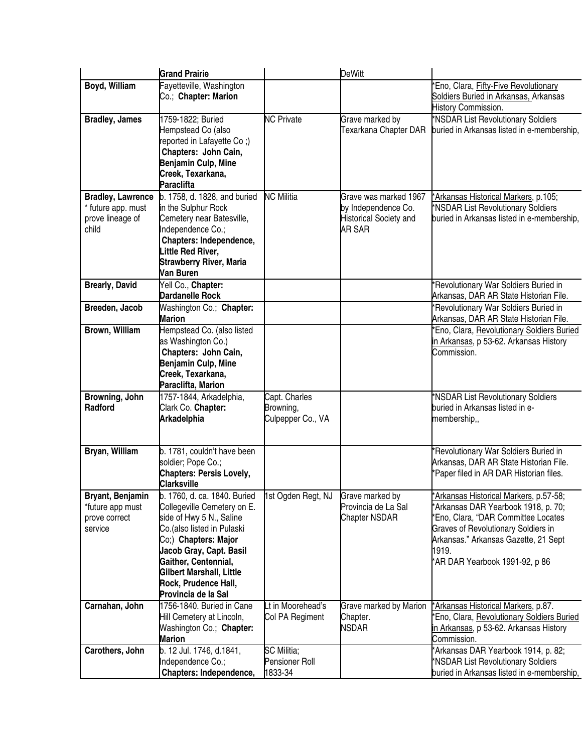|                                                                             | <b>Grand Prairie</b>                                                                                                                                                                                                                                                        |                                                 | <b>DeWitt</b>                                                                           |                                                                                                                                                                                                                                                      |
|-----------------------------------------------------------------------------|-----------------------------------------------------------------------------------------------------------------------------------------------------------------------------------------------------------------------------------------------------------------------------|-------------------------------------------------|-----------------------------------------------------------------------------------------|------------------------------------------------------------------------------------------------------------------------------------------------------------------------------------------------------------------------------------------------------|
| Boyd, William                                                               | Fayetteville, Washington<br>Co.; Chapter: Marion                                                                                                                                                                                                                            |                                                 |                                                                                         | Eno, Clara, Fifty-Five Revolutionary<br>Soldiers Buried in Arkansas, Arkansas<br>History Commission.                                                                                                                                                 |
| <b>Bradley, James</b>                                                       | 1759-1822; Buried<br>Hempstead Co (also<br>reported in Lafayette Co;)<br>Chapters: John Cain,<br>Benjamin Culp, Mine<br>Creek, Texarkana,<br><b>Paraclifta</b>                                                                                                              | <b>NC Private</b>                               | Grave marked by<br>Texarkana Chapter DAR                                                | *NSDAR List Revolutionary Soldiers<br>buried in Arkansas listed in e-membership,                                                                                                                                                                     |
| <b>Bradley, Lawrence</b><br>* future app. must<br>prove lineage of<br>child | b. 1758, d. 1828, and buried<br>in the Sulphur Rock<br>Cemetery near Batesville,<br>Independence Co.;<br>Chapters: Independence,<br>Little Red River,<br><b>Strawberry River, Maria</b><br>Van Buren                                                                        | <b>NC Militia</b>                               | Grave was marked 1967<br>by Independence Co.<br>Historical Society and<br><b>AR SAR</b> | *Arkansas Historical Markers, p.105;<br>*NSDAR List Revolutionary Soldiers<br>buried in Arkansas listed in e-membership,                                                                                                                             |
| <b>Brearly, David</b><br>Breeden, Jacob                                     | Yell Co., Chapter:<br><b>Dardanelle Rock</b><br>Washington Co.; Chapter:                                                                                                                                                                                                    |                                                 |                                                                                         | Revolutionary War Soldiers Buried in<br>Arkansas, DAR AR State Historian File.<br>Revolutionary War Soldiers Buried in                                                                                                                               |
|                                                                             | <b>Marion</b>                                                                                                                                                                                                                                                               |                                                 |                                                                                         | Arkansas, DAR AR State Historian File.                                                                                                                                                                                                               |
| Brown, William                                                              | Hempstead Co. (also listed<br>as Washington Co.)<br>Chapters: John Cain,<br>Benjamin Culp, Mine<br>Creek, Texarkana,<br>Paraclifta, Marion                                                                                                                                  |                                                 |                                                                                         | Eno, Clara, Revolutionary Soldiers Buried<br>in Arkansas, p 53-62. Arkansas History<br>Commission.                                                                                                                                                   |
| Browning, John<br>Radford                                                   | 1757-1844, Arkadelphia,<br>Clark Co. Chapter:<br><b>Arkadelphia</b>                                                                                                                                                                                                         | Capt. Charles<br>Browning,<br>Culpepper Co., VA |                                                                                         | *NSDAR List Revolutionary Soldiers<br>buried in Arkansas listed in e-<br>membership,,                                                                                                                                                                |
| Bryan, William                                                              | b. 1781, couldn't have been<br>soldier; Pope Co.;<br><b>Chapters: Persis Lovely,</b><br><b>Clarksville</b>                                                                                                                                                                  |                                                 |                                                                                         | 'Revolutionary War Soldiers Buried in<br>Arkansas, DAR AR State Historian File.<br>Paper filed in AR DAR Historian files.                                                                                                                            |
| Bryant, Benjamin<br>*future app must<br>prove correct<br>service            | b. 1760, d. ca. 1840. Buried<br>Collegeville Cemetery on E.<br>side of Hwy 5 N., Saline<br>Co.(also listed in Pulaski<br>Co;) Chapters: Major<br>Jacob Gray, Capt. Basil<br>Gaither, Centennial,<br>Gilbert Marshall, Little<br>Rock, Prudence Hall,<br>Provincia de la Sal | 1st Ogden Regt, NJ                              | Grave marked by<br>Provincia de La Sal<br>Chapter NSDAR                                 | 'Arkansas Historical Markers, p.57-58;<br>'Arkansas DAR Yearbook 1918, p. 70;<br>'Eno, Clara, "DAR Committee Locates<br><b>Graves of Revolutionary Soldiers in</b><br>Arkansas." Arkansas Gazette, 21 Sept<br>1919.<br>AR DAR Yearbook 1991-92, p 86 |
| Carnahan, John                                                              | 1756-1840. Buried in Cane<br>Hill Cemetery at Lincoln,<br>Washington Co.; Chapter:<br><b>Marion</b>                                                                                                                                                                         | Lt in Moorehead's<br>Col PA Regiment            | Grave marked by Marion<br>Chapter.<br>NSDAR                                             | *Arkansas Historical Markers, p.87.<br>Eno, Clara, Revolutionary Soldiers Buried<br>in Arkansas, p 53-62. Arkansas History<br>Commission.                                                                                                            |
| Carothers, John                                                             | b. 12 Jul. 1746, d.1841,<br>Independence Co.;<br>Chapters: Independence,                                                                                                                                                                                                    | SC Militia;<br>Pensioner Roll<br>1833-34        |                                                                                         | 'Arkansas DAR Yearbook 1914, p. 82;<br>*NSDAR List Revolutionary Soldiers<br>buried in Arkansas listed in e-membership,                                                                                                                              |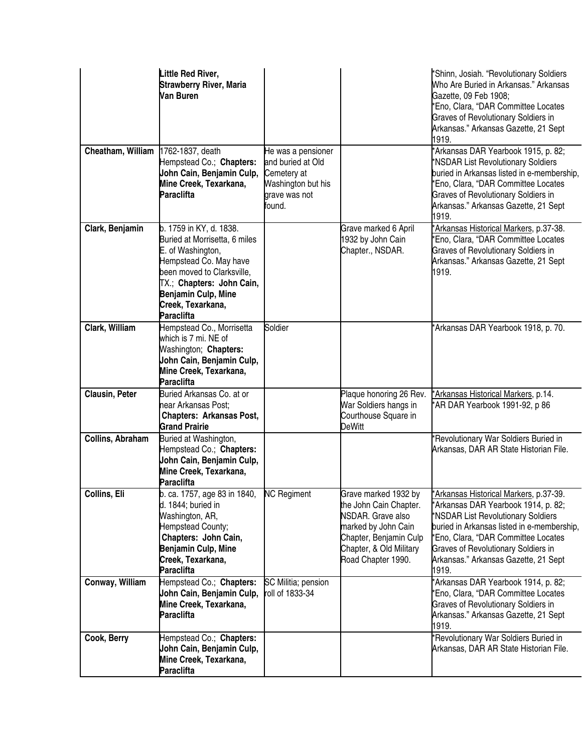|                                    | Little Red River,<br><b>Strawberry River, Maria</b><br>Van Buren                                                                                                                                                             |                                                                                                         |                                                                                                                                                                       | *Shinn, Josiah. "Revolutionary Soldiers<br>Who Are Buried in Arkansas." Arkansas<br>Gazette, 09 Feb 1908;<br>'Eno, Clara, "DAR Committee Locates<br><b>Graves of Revolutionary Soldiers in</b><br>Arkansas." Arkansas Gazette, 21 Sept<br>1919.                                                  |
|------------------------------------|------------------------------------------------------------------------------------------------------------------------------------------------------------------------------------------------------------------------------|---------------------------------------------------------------------------------------------------------|-----------------------------------------------------------------------------------------------------------------------------------------------------------------------|--------------------------------------------------------------------------------------------------------------------------------------------------------------------------------------------------------------------------------------------------------------------------------------------------|
| Cheatham, William 1762-1837, death | Hempstead Co.; Chapters:<br>John Cain, Benjamin Culp,<br>Mine Creek, Texarkana,<br><b>Paraclifta</b>                                                                                                                         | He was a pensioner<br>and buried at Old<br>Cemetery at<br>Washington but his<br>grave was not<br>found. |                                                                                                                                                                       | 'Arkansas DAR Yearbook 1915, p. 82;<br>*NSDAR List Revolutionary Soldiers<br>buried in Arkansas listed in e-membership,<br>'Eno, Clara, "DAR Committee Locates<br><b>Graves of Revolutionary Soldiers in</b><br>Arkansas." Arkansas Gazette, 21 Sept<br>1919.                                    |
| Clark, Benjamin                    | b. 1759 in KY, d. 1838.<br>Buried at Morrisetta, 6 miles<br>E. of Washington,<br>Hempstead Co. May have<br>been moved to Clarksville,<br>TX.; Chapters: John Cain,<br>Benjamin Culp, Mine<br>Creek, Texarkana,<br>Paraclifta |                                                                                                         | Grave marked 6 April<br>1932 by John Cain<br>Chapter., NSDAR.                                                                                                         | Arkansas Historical Markers, p.37-38.<br>'Eno, Clara, "DAR Committee Locates<br><b>Graves of Revolutionary Soldiers in</b><br>Arkansas." Arkansas Gazette, 21 Sept<br>1919.                                                                                                                      |
| Clark, William                     | Hempstead Co., Morrisetta<br>which is 7 mi. NE of<br>Washington; Chapters:<br>John Cain, Benjamin Culp,<br>Mine Creek, Texarkana,<br><b>Paraclifta</b>                                                                       | Soldier                                                                                                 |                                                                                                                                                                       | *Arkansas DAR Yearbook 1918, p. 70.                                                                                                                                                                                                                                                              |
| <b>Clausin, Peter</b>              | Buried Arkansas Co. at or<br>near Arkansas Post;<br><b>Chapters: Arkansas Post,</b><br><b>Grand Prairie</b>                                                                                                                  |                                                                                                         | Plaque honoring 26 Rev.<br>War Soldiers hangs in<br>Courthouse Square in<br>DeWitt                                                                                    | *Arkansas Historical Markers, p.14.<br>AR DAR Yearbook 1991-92, p 86                                                                                                                                                                                                                             |
| Collins, Abraham                   | Buried at Washington,<br>Hempstead Co.; Chapters:<br>John Cain, Benjamin Culp,<br>Mine Creek, Texarkana,<br>Paraclifta                                                                                                       |                                                                                                         |                                                                                                                                                                       | Revolutionary War Soldiers Buried in<br>Arkansas, DAR AR State Historian File.                                                                                                                                                                                                                   |
| Collins, Eli                       | b. ca. 1757, age 83 in 1840,<br>d. 1844; buried in<br>Washington, AR,<br>Hempstead County;<br>Chapters: John Cain,<br>Benjamin Culp, Mine<br>Creek, Texarkana,<br><b>Paraclifta</b>                                          | <b>NC</b> Regiment                                                                                      | Grave marked 1932 by<br>the John Cain Chapter.<br>NSDAR. Grave also<br>marked by John Cain<br>Chapter, Benjamin Culp<br>Chapter, & Old Military<br>Road Chapter 1990. | *Arkansas Historical Markers, p.37-39.<br>*Arkansas DAR Yearbook 1914, p. 82;<br>*NSDAR List Revolutionary Soldiers<br>buried in Arkansas listed in e-membership,<br>*Eno, Clara, "DAR Committee Locates<br>Graves of Revolutionary Soldiers in<br>Arkansas." Arkansas Gazette, 21 Sept<br>1919. |
| Conway, William                    | Hempstead Co.; Chapters:<br>John Cain, Benjamin Culp,<br>Mine Creek, Texarkana,<br><b>Paraclifta</b>                                                                                                                         | SC Militia; pension<br>roll of 1833-34                                                                  |                                                                                                                                                                       | 'Arkansas DAR Yearbook 1914, p. 82;<br>'Eno, Clara, "DAR Committee Locates<br><b>Graves of Revolutionary Soldiers in</b><br>Arkansas." Arkansas Gazette, 21 Sept<br>1919.                                                                                                                        |
| Cook, Berry                        | Hempstead Co.; Chapters:<br>John Cain, Benjamin Culp,<br>Mine Creek, Texarkana,<br><b>Paraclifta</b>                                                                                                                         |                                                                                                         |                                                                                                                                                                       | 'Revolutionary War Soldiers Buried in<br>Arkansas, DAR AR State Historian File.                                                                                                                                                                                                                  |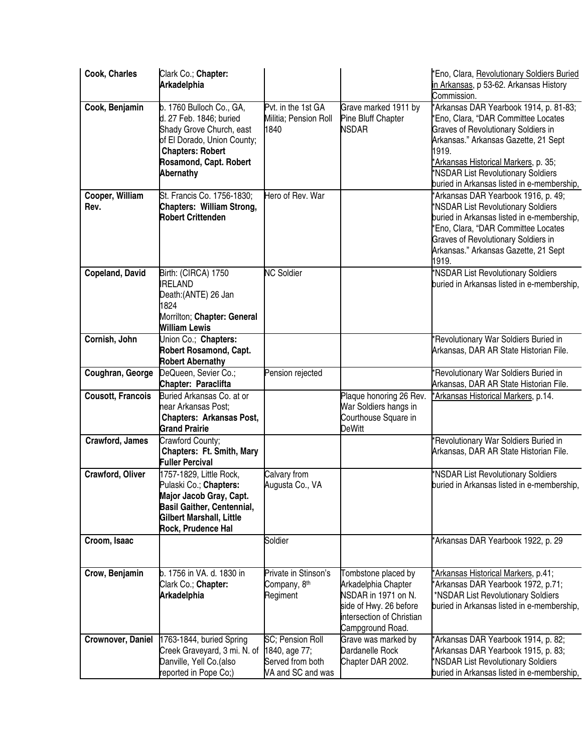| Cook, Charles            | Clark Co.; Chapter:<br><b>Arkadelphia</b>                                                                                                                                        |                                                                                    |                                                                                                                                              | *Eno, Clara, Revolutionary Soldiers Buried<br>in Arkansas, p 53-62. Arkansas History<br>Commission.                                                                                                                                                                                               |
|--------------------------|----------------------------------------------------------------------------------------------------------------------------------------------------------------------------------|------------------------------------------------------------------------------------|----------------------------------------------------------------------------------------------------------------------------------------------|---------------------------------------------------------------------------------------------------------------------------------------------------------------------------------------------------------------------------------------------------------------------------------------------------|
| Cook, Benjamin           | b. 1760 Bulloch Co., GA,<br>d. 27 Feb. 1846; buried<br>Shady Grove Church, east<br>of El Dorado, Union County;<br><b>Chapters: Robert</b><br>Rosamond, Capt. Robert<br>Abernathy | Pvt. in the 1st GA<br>Militia; Pension Roll<br>1840                                | Grave marked 1911 by<br>Pine Bluff Chapter<br><b>NSDAR</b>                                                                                   | *Arkansas DAR Yearbook 1914, p. 81-83;<br>*Eno, Clara, "DAR Committee Locates<br>Graves of Revolutionary Soldiers in<br>Arkansas." Arkansas Gazette, 21 Sept<br>1919.<br>*Arkansas Historical Markers, p. 35;<br>*NSDAR List Revolutionary Soldiers<br>buried in Arkansas listed in e-membership, |
| Cooper, William<br>Rev.  | St. Francis Co. 1756-1830;<br>Chapters: William Strong,<br><b>Robert Crittenden</b>                                                                                              | Hero of Rev. War                                                                   |                                                                                                                                              | *Arkansas DAR Yearbook 1916, p. 49;<br>*NSDAR List Revolutionary Soldiers<br>buried in Arkansas listed in e-membership,<br>'Eno, Clara, "DAR Committee Locates<br><b>Graves of Revolutionary Soldiers in</b><br>Arkansas." Arkansas Gazette, 21 Sept<br>1919.                                     |
| <b>Copeland, David</b>   | Birth: (CIRCA) 1750<br><b>RELAND</b><br>Death:(ANTE) 26 Jan<br>1824<br>Morrilton; Chapter: General<br>William Lewis                                                              | <b>NC Soldier</b>                                                                  |                                                                                                                                              | *NSDAR List Revolutionary Soldiers<br>buried in Arkansas listed in e-membership,                                                                                                                                                                                                                  |
| Cornish, John            | Union Co.; Chapters:<br><b>Robert Rosamond, Capt.</b><br><b>Robert Abernathy</b>                                                                                                 |                                                                                    |                                                                                                                                              | *Revolutionary War Soldiers Buried in<br>Arkansas, DAR AR State Historian File.                                                                                                                                                                                                                   |
| Coughran, George         | DeQueen, Sevier Co.;<br>Chapter: Paraclifta                                                                                                                                      | Pension rejected                                                                   |                                                                                                                                              | 'Revolutionary War Soldiers Buried in<br>Arkansas, DAR AR State Historian File.                                                                                                                                                                                                                   |
| <b>Cousott, Francois</b> | Buried Arkansas Co. at or<br>near Arkansas Post;<br><b>Chapters: Arkansas Post,</b><br><b>Grand Prairie</b>                                                                      |                                                                                    | Plaque honoring 26 Rev.<br>War Soldiers hangs in<br>Courthouse Square in<br><b>DeWitt</b>                                                    | *Arkansas Historical Markers, p.14.                                                                                                                                                                                                                                                               |
| Crawford, James          | Crawford County;<br>Chapters: Ft. Smith, Mary<br><b>Fuller Percival</b>                                                                                                          |                                                                                    |                                                                                                                                              | *Revolutionary War Soldiers Buried in<br>Arkansas, DAR AR State Historian File.                                                                                                                                                                                                                   |
| Crawford, Oliver         | 1757-1829, Little Rock,<br>Pulaski Co.; Chapters:<br>Major Jacob Gray, Capt.<br><b>Basil Gaither, Centennial,</b><br>Gilbert Marshall, Little<br>Rock, Prudence Hal              | Calvary from<br>Augusta Co., VA                                                    |                                                                                                                                              | *NSDAR List Revolutionary Soldiers<br>buried in Arkansas listed in e-membership,                                                                                                                                                                                                                  |
| Croom, Isaac             |                                                                                                                                                                                  | Soldier                                                                            |                                                                                                                                              | *Arkansas DAR Yearbook 1922, p. 29                                                                                                                                                                                                                                                                |
| Crow, Benjamin           | b. 1756 in VA. d. 1830 in<br>Clark Co.; Chapter:<br><b>Arkadelphia</b>                                                                                                           | Private in Stinson's<br>Company, 8 <sup>th</sup><br>Regiment                       | Tombstone placed by<br>Arkadelphia Chapter<br>NSDAR in 1971 on N.<br>side of Hwy. 26 before<br>intersection of Christian<br>Campground Road. | *Arkansas Historical Markers, p.41;<br>*Arkansas DAR Yearbook 1972, p.71;<br>*NSDAR List Revolutionary Soldiers<br>buried in Arkansas listed in e-membership,                                                                                                                                     |
| Crownover, Daniel        | 1763-1844, buried Spring<br>Creek Graveyard, 3 mi. N. of<br>Danville, Yell Co. (also<br>reported in Pope Co;)                                                                    | <b>SC</b> ; Pension Roll<br>1840, age 77;<br>Served from both<br>VA and SC and was | Grave was marked by<br>Dardanelle Rock<br>Chapter DAR 2002.                                                                                  | *Arkansas DAR Yearbook 1914, p. 82;<br>*Arkansas DAR Yearbook 1915, p. 83;<br>*NSDAR List Revolutionary Soldiers<br>buried in Arkansas listed in e-membership,                                                                                                                                    |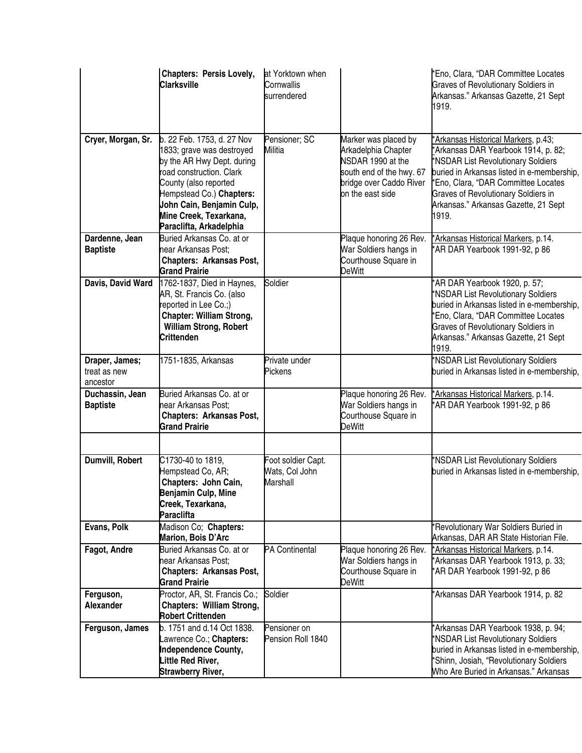|                                            | <b>Chapters: Persis Lovely,</b><br><b>Clarksville</b>                                                                                                                                                                                                    | at Yorktown when<br>Cornwallis<br>surrendered           |                                                                                                                                             | *Eno, Clara, "DAR Committee Locates<br><b>Graves of Revolutionary Soldiers in</b><br>Arkansas." Arkansas Gazette, 21 Sept<br>1919.                                                                                                                                                                   |
|--------------------------------------------|----------------------------------------------------------------------------------------------------------------------------------------------------------------------------------------------------------------------------------------------------------|---------------------------------------------------------|---------------------------------------------------------------------------------------------------------------------------------------------|------------------------------------------------------------------------------------------------------------------------------------------------------------------------------------------------------------------------------------------------------------------------------------------------------|
| Cryer, Morgan, Sr.                         | b. 22 Feb. 1753, d. 27 Nov<br>1833; grave was destroyed<br>by the AR Hwy Dept. during<br>road construction. Clark<br>County (also reported<br>Hempstead Co.) Chapters:<br>John Cain, Benjamin Culp,<br>Mine Creek, Texarkana,<br>Paraclifta, Arkadelphia | Pensioner; SC<br>Militia                                | Marker was placed by<br>Arkadelphia Chapter<br>NSDAR 1990 at the<br>south end of the hwy. 67<br>bridge over Caddo River<br>on the east side | 'Arkansas Historical Markers, p.43;<br>*Arkansas DAR Yearbook 1914, p. 82;<br>*NSDAR List Revolutionary Soldiers<br>buried in Arkansas listed in e-membership,<br>*Eno, Clara, "DAR Committee Locates<br><b>Graves of Revolutionary Soldiers in</b><br>Arkansas." Arkansas Gazette, 21 Sept<br>1919. |
| Dardenne, Jean<br><b>Baptiste</b>          | Buried Arkansas Co. at or<br>near Arkansas Post;<br><b>Chapters: Arkansas Post,</b><br><b>Grand Prairie</b>                                                                                                                                              |                                                         | Plaque honoring 26 Rev.<br>War Soldiers hangs in<br>Courthouse Square in<br><b>DeWitt</b>                                                   | *Arkansas Historical Markers, p.14.<br>AR DAR Yearbook 1991-92, p 86                                                                                                                                                                                                                                 |
| Davis, David Ward                          | 1762-1837, Died in Haynes,<br>AR, St. Francis Co. (also<br>reported in Lee Co.;)<br><b>Chapter: William Strong,</b><br><b>William Strong, Robert</b><br>Crittenden                                                                                       | Soldier                                                 |                                                                                                                                             | *AR DAR Yearbook 1920, p. 57;<br>*NSDAR List Revolutionary Soldiers<br>buried in Arkansas listed in e-membership,<br>'Eno, Clara, "DAR Committee Locates<br><b>Graves of Revolutionary Soldiers in</b><br>Arkansas." Arkansas Gazette, 21 Sept<br>1919.                                              |
| Draper, James;<br>treat as new<br>ancestor | 1751-1835, Arkansas                                                                                                                                                                                                                                      | Private under<br>Pickens                                |                                                                                                                                             | *NSDAR List Revolutionary Soldiers<br>buried in Arkansas listed in e-membership,                                                                                                                                                                                                                     |
| Duchassin, Jean<br><b>Baptiste</b>         | Buried Arkansas Co. at or<br>near Arkansas Post;<br><b>Chapters: Arkansas Post,</b><br><b>Grand Prairie</b>                                                                                                                                              |                                                         | Plaque honoring 26 Rev.<br>War Soldiers hangs in<br>Courthouse Square in<br>DeWitt                                                          | *Arkansas Historical Markers, p.14.<br>*AR DAR Yearbook 1991-92, p 86                                                                                                                                                                                                                                |
| Dumvill, Robert                            | C1730-40 to 1819,<br>Hempstead Co, AR;<br>Chapters: John Cain,<br>Benjamin Culp, Mine<br>Creek, Texarkana,<br><b>Paraclifta</b>                                                                                                                          | Foot soldier Capt.<br>Wats, Col John<br><b>Marshall</b> |                                                                                                                                             | *NSDAR List Revolutionary Soldiers<br>buried in Arkansas listed in e-membership,                                                                                                                                                                                                                     |
| Evans, Polk                                | Madison Co; Chapters:<br>Marion, Bois D'Arc                                                                                                                                                                                                              |                                                         |                                                                                                                                             | *Revolutionary War Soldiers Buried in<br>Arkansas, DAR AR State Historian File.                                                                                                                                                                                                                      |
| Fagot, Andre                               | Buried Arkansas Co. at or<br>near Arkansas Post;<br><b>Chapters: Arkansas Post,</b><br><b>Grand Prairie</b>                                                                                                                                              | <b>PA Continental</b>                                   | Plaque honoring 26 Rev.<br>War Soldiers hangs in<br>Courthouse Square in<br>DeWitt                                                          | *Arkansas Historical Markers, p.14.<br>*Arkansas DAR Yearbook 1913, p. 33;<br>*AR DAR Yearbook 1991-92, p 86                                                                                                                                                                                         |
| Ferguson,<br>Alexander                     | Proctor, AR, St. Francis Co.;<br><b>Chapters: William Strong,</b><br><b>Robert Crittenden</b>                                                                                                                                                            | Soldier                                                 |                                                                                                                                             | Arkansas DAR Yearbook 1914, p. 82                                                                                                                                                                                                                                                                    |
| Ferguson, James                            | b. 1751 and d.14 Oct 1838.<br>Lawrence Co.; Chapters:<br>Independence County,<br>Little Red River,<br><b>Strawberry River,</b>                                                                                                                           | Pensioner on<br>Pension Roll 1840                       |                                                                                                                                             | 'Arkansas DAR Yearbook 1938, p. 94;<br>*NSDAR List Revolutionary Soldiers<br>buried in Arkansas listed in e-membership,<br>*Shinn, Josiah, "Revolutionary Soldiers<br>Who Are Buried in Arkansas." Arkansas                                                                                          |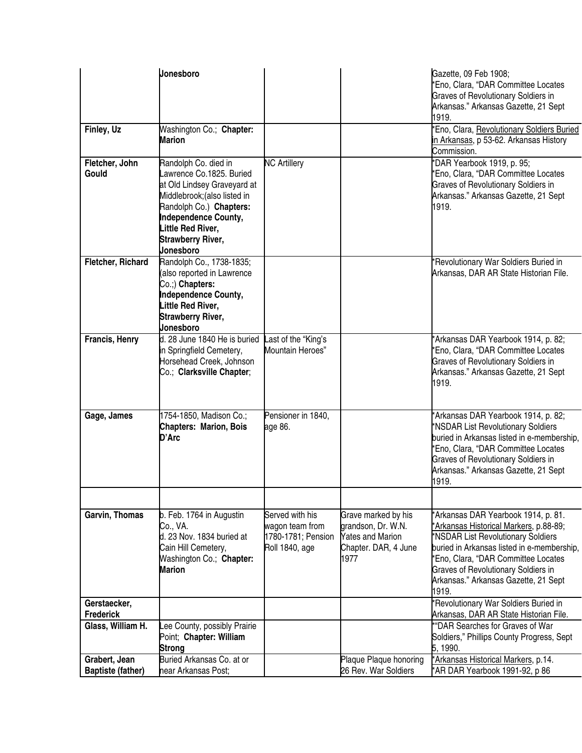|                                           | Jonesboro                                                                                                                                                                                                                              |                                                                            |                                                                                                      | Gazette, 09 Feb 1908;<br>*Eno, Clara, "DAR Committee Locates<br>Graves of Revolutionary Soldiers in<br>Arkansas." Arkansas Gazette, 21 Sept<br>1919.                                                                                                                                                    |
|-------------------------------------------|----------------------------------------------------------------------------------------------------------------------------------------------------------------------------------------------------------------------------------------|----------------------------------------------------------------------------|------------------------------------------------------------------------------------------------------|---------------------------------------------------------------------------------------------------------------------------------------------------------------------------------------------------------------------------------------------------------------------------------------------------------|
| Finley, Uz                                | Washington Co.; Chapter:<br><b>Marion</b>                                                                                                                                                                                              |                                                                            |                                                                                                      | 'Eno, Clara, Revolutionary Soldiers Buried<br>in Arkansas, p 53-62. Arkansas History<br>Commission.                                                                                                                                                                                                     |
| Fletcher, John<br>Gould                   | Randolph Co. died in<br>awrence Co.1825. Buried<br>at Old Lindsey Graveyard at<br>Middlebrook; (also listed in<br>Randolph Co.) Chapters:<br>Independence County,<br>Little Red River,<br><b>Strawberry River,</b><br><b>Jonesboro</b> | <b>NC Artillery</b>                                                        |                                                                                                      | *DAR Yearbook 1919, p. 95;<br>*Eno, Clara, "DAR Committee Locates<br>Graves of Revolutionary Soldiers in<br>Arkansas." Arkansas Gazette, 21 Sept<br>1919.                                                                                                                                               |
| Fletcher, Richard                         | Randolph Co., 1738-1835;<br>(also reported in Lawrence<br>Co.;) Chapters:<br>Independence County,<br>Little Red River,<br><b>Strawberry River,</b><br>Jonesboro                                                                        |                                                                            |                                                                                                      | 'Revolutionary War Soldiers Buried in<br>Arkansas, DAR AR State Historian File.                                                                                                                                                                                                                         |
| Francis, Henry                            | d. 28 June 1840 He is buried<br>in Springfield Cemetery,<br>Horsehead Creek, Johnson<br>Co.; Clarksville Chapter;                                                                                                                      | Last of the "King's<br>Mountain Heroes"                                    |                                                                                                      | *Arkansas DAR Yearbook 1914, p. 82;<br>*Eno, Clara, "DAR Committee Locates<br>Graves of Revolutionary Soldiers in<br>Arkansas." Arkansas Gazette, 21 Sept<br>1919.                                                                                                                                      |
| Gage, James                               | 1754-1850, Madison Co.;<br><b>Chapters: Marion, Bois</b><br>D'Arc                                                                                                                                                                      | Pensioner in 1840,<br>age 86.                                              |                                                                                                      | *Arkansas DAR Yearbook 1914, p. 82;<br>*NSDAR List Revolutionary Soldiers<br>buried in Arkansas listed in e-membership,<br>*Eno, Clara, "DAR Committee Locates<br><b>Graves of Revolutionary Soldiers in</b><br>Arkansas." Arkansas Gazette, 21 Sept<br>1919.                                           |
| <b>Garvin, Thomas</b>                     | b. Feb. 1764 in Augustin<br>Co., VA.<br>d. 23 Nov. 1834 buried at<br>Cain Hill Cemetery,<br>Washington Co.; Chapter:<br><b>Marion</b>                                                                                                  | Served with his<br>wagon team from<br>1780-1781; Pension<br>Roll 1840, age | Grave marked by his<br>grandson, Dr. W.N.<br><b>Yates and Marion</b><br>Chapter. DAR, 4 June<br>1977 | *Arkansas DAR Yearbook 1914, p. 81.<br>*Arkansas Historical Markers, p.88-89;<br>*NSDAR List Revolutionary Soldiers<br>buried in Arkansas listed in e-membership,<br>*Eno, Clara, "DAR Committee Locates<br><b>Graves of Revolutionary Soldiers in</b><br>Arkansas." Arkansas Gazette, 21 Sept<br>1919. |
| Gerstaecker,<br><b>Frederick</b>          |                                                                                                                                                                                                                                        |                                                                            |                                                                                                      | 'Revolutionary War Soldiers Buried in<br>Arkansas, DAR AR State Historian File.                                                                                                                                                                                                                         |
| Glass, William H.                         | ee County, possibly Prairie<br>Point; Chapter: William<br><b>Strong</b>                                                                                                                                                                |                                                                            |                                                                                                      | "DAR Searches for Graves of War<br>Soldiers," Phillips County Progress, Sept<br>5, 1990.                                                                                                                                                                                                                |
| Grabert, Jean<br><b>Baptiste (father)</b> | Buried Arkansas Co. at or<br>near Arkansas Post;                                                                                                                                                                                       |                                                                            | Plaque Plaque honoring<br>26 Rev. War Soldiers                                                       | *Arkansas Historical Markers, p.14.<br>*AR DAR Yearbook 1991-92, p 86                                                                                                                                                                                                                                   |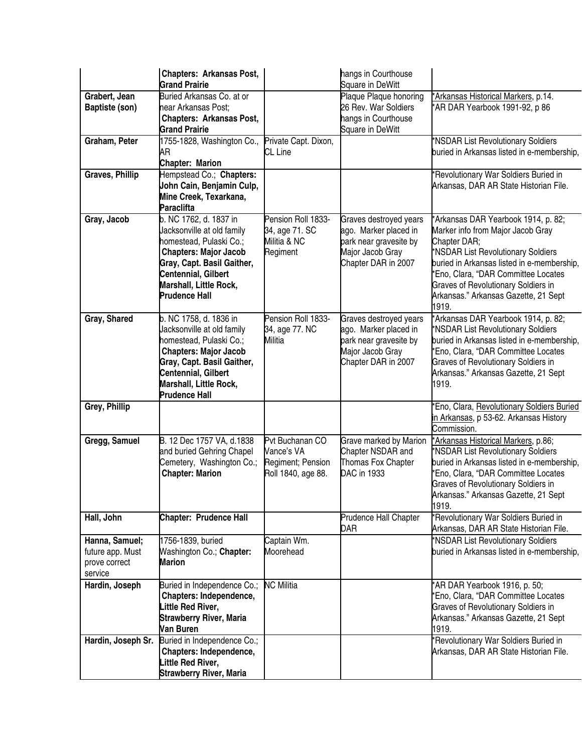|                                                                | <b>Chapters: Arkansas Post,</b><br><b>Grand Prairie</b>                                                                                                                                                                |                                                                          | hangs in Courthouse<br><b>Square in DeWitt</b>                                                                       |                                                                                                                                                                                                                                                                                                                    |
|----------------------------------------------------------------|------------------------------------------------------------------------------------------------------------------------------------------------------------------------------------------------------------------------|--------------------------------------------------------------------------|----------------------------------------------------------------------------------------------------------------------|--------------------------------------------------------------------------------------------------------------------------------------------------------------------------------------------------------------------------------------------------------------------------------------------------------------------|
| Grabert, Jean<br>Baptiste (son)                                | Buried Arkansas Co. at or<br>near Arkansas Post;<br><b>Chapters: Arkansas Post,</b><br><b>Grand Prairie</b>                                                                                                            |                                                                          | Plaque Plaque honoring<br>26 Rev. War Soldiers<br>hangs in Courthouse<br><b>Square in DeWitt</b>                     | *Arkansas Historical Markers, p.14.<br>*AR DAR Yearbook 1991-92, p 86                                                                                                                                                                                                                                              |
| Graham, Peter                                                  | 1755-1828, Washington Co.,<br>AR<br><b>Chapter: Marion</b>                                                                                                                                                             | Private Capt. Dixon,<br>CL Line                                          |                                                                                                                      | *NSDAR List Revolutionary Soldiers<br>buried in Arkansas listed in e-membership,                                                                                                                                                                                                                                   |
| Graves, Phillip                                                | Hempstead Co.; Chapters:<br>John Cain, Benjamin Culp,<br>Mine Creek, Texarkana,<br><b>Paraclifta</b>                                                                                                                   |                                                                          |                                                                                                                      | *Revolutionary War Soldiers Buried in<br>Arkansas, DAR AR State Historian File.                                                                                                                                                                                                                                    |
| Gray, Jacob                                                    | b. NC 1762, d. 1837 in<br>Jacksonville at old family<br>homestead, Pulaski Co.;<br><b>Chapters: Major Jacob</b><br>Gray, Capt. Basil Gaither,<br>Centennial, Gilbert<br>Marshall, Little Rock,<br><b>Prudence Hall</b> | Pension Roll 1833-<br>34, age 71. SC<br>Militia & NC<br>Regiment         | Graves destroyed years<br>ago. Marker placed in<br>park near gravesite by<br>Major Jacob Gray<br>Chapter DAR in 2007 | *Arkansas DAR Yearbook 1914, p. 82;<br>Marker info from Major Jacob Gray<br>Chapter DAR;<br>*NSDAR List Revolutionary Soldiers<br>buried in Arkansas listed in e-membership,<br>'Eno, Clara, "DAR Committee Locates<br><b>Graves of Revolutionary Soldiers in</b><br>Arkansas." Arkansas Gazette, 21 Sept<br>1919. |
| Gray, Shared                                                   | b. NC 1758, d. 1836 in<br>Jacksonville at old family<br>homestead, Pulaski Co.;<br><b>Chapters: Major Jacob</b><br>Gray, Capt. Basil Gaither,<br>Centennial, Gilbert<br>Marshall, Little Rock,<br><b>Prudence Hall</b> | Pension Roll 1833-<br>34, age 77. NC<br>Militia                          | Graves destroyed years<br>ago. Marker placed in<br>park near gravesite by<br>Major Jacob Gray<br>Chapter DAR in 2007 | *Arkansas DAR Yearbook 1914, p. 82;<br>*NSDAR List Revolutionary Soldiers<br>buried in Arkansas listed in e-membership,<br>*Eno, Clara, "DAR Committee Locates<br><b>Graves of Revolutionary Soldiers in</b><br>Arkansas." Arkansas Gazette, 21 Sept<br>1919.                                                      |
| Grey, Phillip                                                  |                                                                                                                                                                                                                        |                                                                          |                                                                                                                      | 'Eno, Clara, Revolutionary Soldiers Buried<br>in Arkansas, p 53-62. Arkansas History<br>Commission.                                                                                                                                                                                                                |
| Gregg, Samuel                                                  | B. 12 Dec 1757 VA, d.1838<br>and buried Gehring Chapel<br>Cemetery, Washington Co.;<br><b>Chapter: Marion</b>                                                                                                          | Pvt Buchanan CO<br>Vance's VA<br>Regiment; Pension<br>Roll 1840, age 88. | Grave marked by Marion<br>Chapter NSDAR and<br>Thomas Fox Chapter<br>DAC in 1933                                     | *Arkansas Historical Markers, p.86;<br>*NSDAR List Revolutionary Soldiers<br>buried in Arkansas listed in e-membership,<br>*Eno, Clara, "DAR Committee Locates<br>Graves of Revolutionary Soldiers in<br>Arkansas." Arkansas Gazette, 21 Sept<br>1919.                                                             |
| Hall, John                                                     | <b>Chapter: Prudence Hall</b>                                                                                                                                                                                          |                                                                          | Prudence Hall Chapter<br>Dar                                                                                         | *Revolutionary War Soldiers Buried in<br>Arkansas, DAR AR State Historian File.                                                                                                                                                                                                                                    |
| Hanna, Samuel;<br>future app. Must<br>prove correct<br>service | 1756-1839, buried<br>Washington Co.; Chapter:<br><b>Marion</b>                                                                                                                                                         | Captain Wm.<br>Moorehead                                                 |                                                                                                                      | *NSDAR List Revolutionary Soldiers<br>buried in Arkansas listed in e-membership,                                                                                                                                                                                                                                   |
| Hardin, Joseph                                                 | Buried in Independence Co.;<br>Chapters: Independence,<br>Little Red River,<br><b>Strawberry River, Maria</b><br>Van Buren                                                                                             | <b>NC Militia</b>                                                        |                                                                                                                      | *AR DAR Yearbook 1916, p. 50;<br>*Eno, Clara, "DAR Committee Locates<br><b>Graves of Revolutionary Soldiers in</b><br>Arkansas." Arkansas Gazette, 21 Sept<br>1919.                                                                                                                                                |
| Hardin, Joseph Sr.                                             | Buried in Independence Co.;<br>Chapters: Independence,<br>Little Red River,<br><b>Strawberry River, Maria</b>                                                                                                          |                                                                          |                                                                                                                      | *Revolutionary War Soldiers Buried in<br>Arkansas, DAR AR State Historian File.                                                                                                                                                                                                                                    |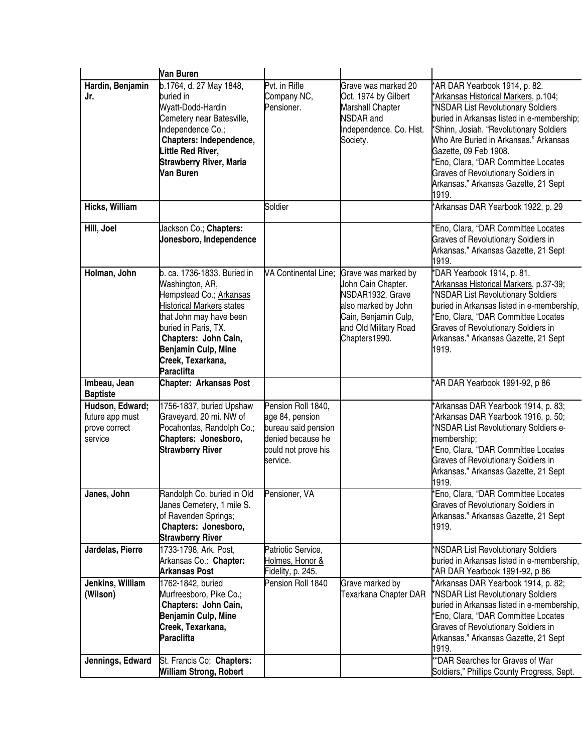|                                                                | Van Buren                                                                                                                                                                                                                                                 |                                                                                                                      |                                                                                                                                                        |                                                                                                                                                                                                                                                                                                                                                                                                              |
|----------------------------------------------------------------|-----------------------------------------------------------------------------------------------------------------------------------------------------------------------------------------------------------------------------------------------------------|----------------------------------------------------------------------------------------------------------------------|--------------------------------------------------------------------------------------------------------------------------------------------------------|--------------------------------------------------------------------------------------------------------------------------------------------------------------------------------------------------------------------------------------------------------------------------------------------------------------------------------------------------------------------------------------------------------------|
| Hardin, Benjamin<br>Jr.                                        | b.1764, d. 27 May 1848,<br>buried in<br>Wyatt-Dodd-Hardin<br>Cemetery near Batesville,<br>Independence Co.;<br>Chapters: Independence,<br>Little Red River,<br><b>Strawberry River, Maria</b><br>Van Buren                                                | Pvt. in Rifle<br>Company NC,<br>Pensioner.                                                                           | Grave was marked 20<br>Oct. 1974 by Gilbert<br><b>Marshall Chapter</b><br><b>NSDAR</b> and<br>Independence. Co. Hist.<br>Society.                      | *AR DAR Yearbook 1914, p. 82.<br>*Arkansas Historical Markers, p.104;<br>*NSDAR List Revolutionary Soldiers<br>buried in Arkansas listed in e-membership;<br>*Shinn, Josiah. "Revolutionary Soldiers<br>Who Are Buried in Arkansas." Arkansas<br>Gazette, 09 Feb 1908.<br>'Eno, Clara, "DAR Committee Locates<br><b>Graves of Revolutionary Soldiers in</b><br>Arkansas." Arkansas Gazette, 21 Sept<br>1919. |
| Hicks, William                                                 |                                                                                                                                                                                                                                                           | Soldier                                                                                                              |                                                                                                                                                        | 'Arkansas DAR Yearbook 1922, p. 29                                                                                                                                                                                                                                                                                                                                                                           |
| Hill, Joel                                                     | Jackson Co.; Chapters:<br>Jonesboro, Independence                                                                                                                                                                                                         |                                                                                                                      |                                                                                                                                                        | 'Eno, Clara, "DAR Committee Locates<br>Graves of Revolutionary Soldiers in<br>Arkansas." Arkansas Gazette, 21 Sept<br>1919.                                                                                                                                                                                                                                                                                  |
| Holman, John                                                   | b. ca. 1736-1833. Buried in<br>Washington, AR,<br>Hempstead Co.; Arkansas<br><b>Historical Markers states</b><br>that John may have been<br>buried in Paris, TX.<br>Chapters: John Cain,<br>Benjamin Culp, Mine<br>Creek, Texarkana,<br><b>Paraclifta</b> | VA Continental Line;                                                                                                 | Grave was marked by<br>John Cain Chapter.<br>NSDAR1932. Grave<br>also marked by John<br>Cain, Benjamin Culp,<br>and Old Military Road<br>Chapters1990. | *DAR Yearbook 1914, p. 81.<br>Arkansas Historical Markers, p.37-39;<br>*NSDAR List Revolutionary Soldiers<br>buried in Arkansas listed in e-membership,<br>'Eno, Clara, "DAR Committee Locates<br><b>Graves of Revolutionary Soldiers in</b><br>Arkansas." Arkansas Gazette, 21 Sept<br>1919.                                                                                                                |
| Imbeau, Jean<br><b>Baptiste</b>                                | <b>Chapter: Arkansas Post</b>                                                                                                                                                                                                                             |                                                                                                                      |                                                                                                                                                        | *AR DAR Yearbook 1991-92, p 86                                                                                                                                                                                                                                                                                                                                                                               |
| Hudson, Edward;<br>future app must<br>prove correct<br>service | 1756-1837, buried Upshaw<br>Graveyard, 20 mi. NW of<br>Pocahontas, Randolph Co.;<br>Chapters: Jonesboro,<br><b>Strawberry River</b>                                                                                                                       | Pension Roll 1840,<br>age 84, pension<br>bureau said pension<br>denied because he<br>could not prove his<br>service. |                                                                                                                                                        | 'Arkansas DAR Yearbook 1914, p. 83;<br>'Arkansas DAR Yearbook 1916, p. 50;<br>*NSDAR List Revolutionary Soldiers e-<br>membership;<br>'Eno, Clara, "DAR Committee Locates<br><b>Graves of Revolutionary Soldiers in</b><br>Arkansas." Arkansas Gazette, 21 Sept<br>1919.                                                                                                                                     |
| Janes, John                                                    | Randolph Co. buried in Old<br>Janes Cemetery, 1 mile S.<br>of Ravenden Springs;<br>Chapters: Jonesboro,<br><b>Strawberry River</b>                                                                                                                        | Pensioner, VA                                                                                                        |                                                                                                                                                        | *Eno, Clara, "DAR Committee Locates<br>Graves of Revolutionary Soldiers in<br>Arkansas." Arkansas Gazette, 21 Sept<br>1919.                                                                                                                                                                                                                                                                                  |
| Jardelas, Pierre                                               | 1733-1798, Ark. Post,<br>Arkansas Co.: Chapter:<br><b>Arkansas Post</b>                                                                                                                                                                                   | Patriotic Service,<br>Holmes, Honor &<br>Fidelity, p. 245.                                                           |                                                                                                                                                        | *NSDAR List Revolutionary Soldiers<br>buried in Arkansas listed in e-membership,<br>*AR DAR Yearbook 1991-92, p 86                                                                                                                                                                                                                                                                                           |
| Jenkins, William<br>(Wilson)<br>Jennings, Edward               | 1762-1842, buried<br>Murfreesboro, Pike Co.;<br>Chapters: John Cain,<br>Benjamin Culp, Mine<br>Creek, Texarkana,<br><b>Paraclifta</b><br>St. Francis Co; Chapters:                                                                                        | Pension Roll 1840                                                                                                    | Grave marked by<br>Texarkana Chapter DAR                                                                                                               | *Arkansas DAR Yearbook 1914, p. 82;<br>*NSDAR List Revolutionary Soldiers<br>buried in Arkansas listed in e-membership,<br>'Eno, Clara, "DAR Committee Locates<br>Graves of Revolutionary Soldiers in<br>Arkansas." Arkansas Gazette, 21 Sept<br>1919.<br>"DAR Searches for Graves of War                                                                                                                    |
|                                                                | <b>William Strong, Robert</b>                                                                                                                                                                                                                             |                                                                                                                      |                                                                                                                                                        | Soldiers," Phillips County Progress, Sept.                                                                                                                                                                                                                                                                                                                                                                   |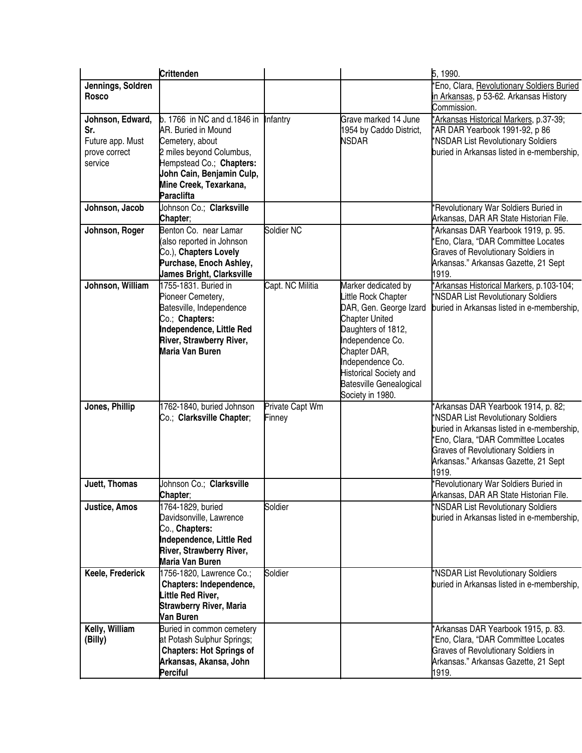|                                                                         | <b>Crittenden</b>                                                                                                                                                                                         |                           |                                                                                                                                                                                                                                                             | 5, 1990.                                                                                                                                                                                                                                               |
|-------------------------------------------------------------------------|-----------------------------------------------------------------------------------------------------------------------------------------------------------------------------------------------------------|---------------------------|-------------------------------------------------------------------------------------------------------------------------------------------------------------------------------------------------------------------------------------------------------------|--------------------------------------------------------------------------------------------------------------------------------------------------------------------------------------------------------------------------------------------------------|
| Jennings, Soldren<br><b>Rosco</b>                                       |                                                                                                                                                                                                           |                           |                                                                                                                                                                                                                                                             | 'Eno, Clara, Revolutionary Soldiers Buried<br>in Arkansas, p 53-62. Arkansas History<br>Commission.                                                                                                                                                    |
| Johnson, Edward,<br>Sr.<br>Future app. Must<br>prove correct<br>service | b. 1766 in NC and d.1846 in<br>AR. Buried in Mound<br>Cemetery, about<br>2 miles beyond Columbus,<br>Hempstead Co.; Chapters:<br>John Cain, Benjamin Culp,<br>Mine Creek, Texarkana,<br><b>Paraclifta</b> | Infantry                  | Grave marked 14 June<br>1954 by Caddo District,<br><b>NSDAR</b>                                                                                                                                                                                             | *Arkansas Historical Markers, p.37-39;<br>*AR DAR Yearbook 1991-92, p 86<br>*NSDAR List Revolutionary Soldiers<br>buried in Arkansas listed in e-membership,                                                                                           |
| Johnson, Jacob                                                          | Johnson Co.; Clarksville<br>Chapter;                                                                                                                                                                      |                           |                                                                                                                                                                                                                                                             | 'Revolutionary War Soldiers Buried in<br>Arkansas, DAR AR State Historian File.                                                                                                                                                                        |
| Johnson, Roger                                                          | Benton Co. near Lamar<br>(also reported in Johnson<br>Co.), Chapters Lovely<br>Purchase, Enoch Ashley,<br><b>James Bright, Clarksville</b>                                                                | Soldier NC                |                                                                                                                                                                                                                                                             | 'Arkansas DAR Yearbook 1919, p. 95.<br>*Eno, Clara, "DAR Committee Locates<br><b>Graves of Revolutionary Soldiers in</b><br>Arkansas." Arkansas Gazette, 21 Sept<br>1919.                                                                              |
| Johnson, William                                                        | 1755-1831. Buried in<br>Pioneer Cemetery,<br>Batesville, Independence<br>Co.; Chapters:<br>Independence, Little Red<br>River, Strawberry River,<br>Maria Van Buren                                        | Capt. NC Militia          | Marker dedicated by<br>Little Rock Chapter<br>DAR, Gen. George Izard<br><b>Chapter United</b><br>Daughters of 1812,<br>Independence Co.<br>Chapter DAR,<br>Independence Co.<br><b>Historical Society and</b><br>Batesville Genealogical<br>Society in 1980. | *Arkansas Historical Markers, p.103-104;<br>*NSDAR List Revolutionary Soldiers<br>buried in Arkansas listed in e-membership,                                                                                                                           |
| Jones, Phillip                                                          | 1762-1840, buried Johnson<br>Co.; Clarksville Chapter;                                                                                                                                                    | Private Capt Wm<br>Finney |                                                                                                                                                                                                                                                             | *Arkansas DAR Yearbook 1914, p. 82;<br>*NSDAR List Revolutionary Soldiers<br>buried in Arkansas listed in e-membership,<br>*Eno, Clara, "DAR Committee Locates<br>Graves of Revolutionary Soldiers in<br>Arkansas." Arkansas Gazette, 21 Sept<br>1919. |
| Juett, Thomas                                                           | Johnson Co.; Clarksville<br>Chapter;                                                                                                                                                                      |                           |                                                                                                                                                                                                                                                             | 'Revolutionary War Soldiers Buried in<br>Arkansas, DAR AR State Historian File.                                                                                                                                                                        |
| Justice, Amos                                                           | 1764-1829, buried<br>Davidsonville, Lawrence<br>Co., Chapters:<br>Independence, Little Red<br>River, Strawberry River,<br>Maria Van Buren                                                                 | Soldier                   |                                                                                                                                                                                                                                                             | *NSDAR List Revolutionary Soldiers<br>buried in Arkansas listed in e-membership,                                                                                                                                                                       |
| Keele, Frederick                                                        | 1756-1820, Lawrence Co.;<br>Chapters: Independence,<br>Little Red River,<br><b>Strawberry River, Maria</b><br>Van Buren                                                                                   | Soldier                   |                                                                                                                                                                                                                                                             | *NSDAR List Revolutionary Soldiers<br>buried in Arkansas listed in e-membership,                                                                                                                                                                       |
| Kelly, William<br>(Billy)                                               | Buried in common cemetery<br>at Potash Sulphur Springs;<br><b>Chapters: Hot Springs of</b><br>Arkansas, Akansa, John<br>Perciful                                                                          |                           |                                                                                                                                                                                                                                                             | *Arkansas DAR Yearbook 1915, p. 83.<br>*Eno, Clara, "DAR Committee Locates<br>Graves of Revolutionary Soldiers in<br>Arkansas." Arkansas Gazette, 21 Sept<br>1919.                                                                                     |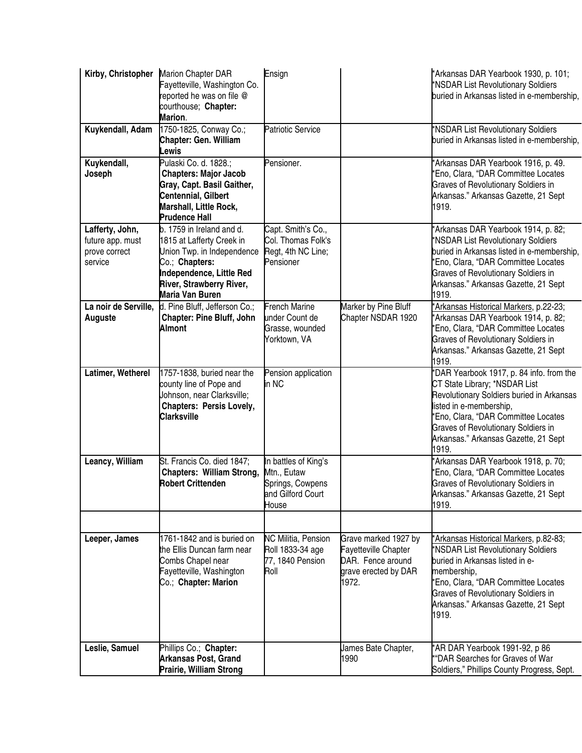|                                                                 | Kirby, Christopher Marion Chapter DAR<br>Fayetteville, Washington Co.<br>reported he was on file @<br>courthouse; Chapter:<br>Marion.                                             | Ensign                                                                                |                                                                                                           | *Arkansas DAR Yearbook 1930, p. 101;<br>*NSDAR List Revolutionary Soldiers<br>buried in Arkansas listed in e-membership,                                                                                                                                                        |
|-----------------------------------------------------------------|-----------------------------------------------------------------------------------------------------------------------------------------------------------------------------------|---------------------------------------------------------------------------------------|-----------------------------------------------------------------------------------------------------------|---------------------------------------------------------------------------------------------------------------------------------------------------------------------------------------------------------------------------------------------------------------------------------|
| Kuykendall, Adam                                                | 1750-1825, Conway Co.;<br><b>Chapter: Gen. William</b><br>Lewis                                                                                                                   | <b>Patriotic Service</b>                                                              |                                                                                                           | *NSDAR List Revolutionary Soldiers<br>buried in Arkansas listed in e-membership,                                                                                                                                                                                                |
| Kuykendall,<br>Joseph                                           | Pulaski Co. d. 1828.;<br><b>Chapters: Major Jacob</b><br>Gray, Capt. Basil Gaither,<br>Centennial, Gilbert<br>Marshall, Little Rock,<br><b>Prudence Hall</b>                      | Pensioner.                                                                            |                                                                                                           | 'Arkansas DAR Yearbook 1916, p. 49.<br>'Eno, Clara, "DAR Committee Locates<br><b>Graves of Revolutionary Soldiers in</b><br>Arkansas." Arkansas Gazette, 21 Sept<br>1919.                                                                                                       |
| Lafferty, John,<br>future app. must<br>prove correct<br>service | b. 1759 in Ireland and d.<br>1815 at Lafferty Creek in<br>Union Twp. in Independence<br>Co.; Chapters:<br>Independence, Little Red<br>River, Strawberry River,<br>Maria Van Buren | Capt. Smith's Co.,<br>Col. Thomas Folk's<br>Regt, 4th NC Line;<br>Pensioner           |                                                                                                           | 'Arkansas DAR Yearbook 1914, p. 82;<br>*NSDAR List Revolutionary Soldiers<br>buried in Arkansas listed in e-membership,<br>'Eno, Clara, "DAR Committee Locates<br><b>Graves of Revolutionary Soldiers in</b><br>Arkansas." Arkansas Gazette, 21 Sept<br>1919.                   |
| La noir de Serville,<br>Auguste                                 | d. Pine Bluff, Jefferson Co.;<br><b>Chapter: Pine Bluff, John</b><br><b>Almont</b>                                                                                                | <b>French Marine</b><br>under Count de<br>Grasse, wounded<br>Yorktown, VA             | Marker by Pine Bluff<br>Chapter NSDAR 1920                                                                | Arkansas Historical Markers, p.22-23;<br>'Arkansas DAR Yearbook 1914, p. 82;<br>'Eno, Clara, "DAR Committee Locates<br><b>Graves of Revolutionary Soldiers in</b><br>Arkansas." Arkansas Gazette, 21 Sept<br>1919.                                                              |
| Latimer, Wetherel                                               | 1757-1838, buried near the<br>county line of Pope and<br>Johnson, near Clarksville;<br><b>Chapters: Persis Lovely,</b><br><b>Clarksville</b>                                      | Pension application<br>in NC                                                          |                                                                                                           | DAR Yearbook 1917, p. 84 info. from the<br>CT State Library; *NSDAR List<br>Revolutionary Soldiers buried in Arkansas<br>listed in e-membership,<br>'Eno, Clara, "DAR Committee Locates<br>Graves of Revolutionary Soldiers in<br>Arkansas." Arkansas Gazette, 21 Sept<br>1919. |
| Leancy, William                                                 | St. Francis Co. died 1847;<br><b>Chapters: William Strong,</b><br><b>Robert Crittenden</b>                                                                                        | In battles of King's<br>Mtn., Eutaw<br>Springs, Cowpens<br>and Gilford Court<br>House |                                                                                                           | 'Arkansas DAR Yearbook 1918, p. 70;<br>'Eno, Clara, "DAR Committee Locates<br><b>Graves of Revolutionary Soldiers in</b><br>Arkansas." Arkansas Gazette, 21 Sept<br>1919.                                                                                                       |
| Leeper, James                                                   | 1761-1842 and is buried on<br>the Ellis Duncan farm near<br>Combs Chapel near<br>Fayetteville, Washington<br>Co.; Chapter: Marion                                                 | NC Militia, Pension<br>Roll 1833-34 age<br>77, 1840 Pension<br>Roll                   | Grave marked 1927 by<br><b>Fayetteville Chapter</b><br>DAR. Fence around<br>grave erected by DAR<br>1972. | *Arkansas Historical Markers, p.82-83;<br>*NSDAR List Revolutionary Soldiers<br>buried in Arkansas listed in e-<br>membership,<br>'Eno, Clara, "DAR Committee Locates<br><b>Graves of Revolutionary Soldiers in</b><br>Arkansas." Arkansas Gazette, 21 Sept<br>1919.            |
| Leslie, Samuel                                                  | Phillips Co.; Chapter:<br><b>Arkansas Post, Grand</b><br>Prairie, William Strong                                                                                                  |                                                                                       | James Bate Chapter,<br>1990                                                                               | *AR DAR Yearbook 1991-92, p 86<br>"DAR Searches for Graves of War<br>Soldiers," Phillips County Progress, Sept.                                                                                                                                                                 |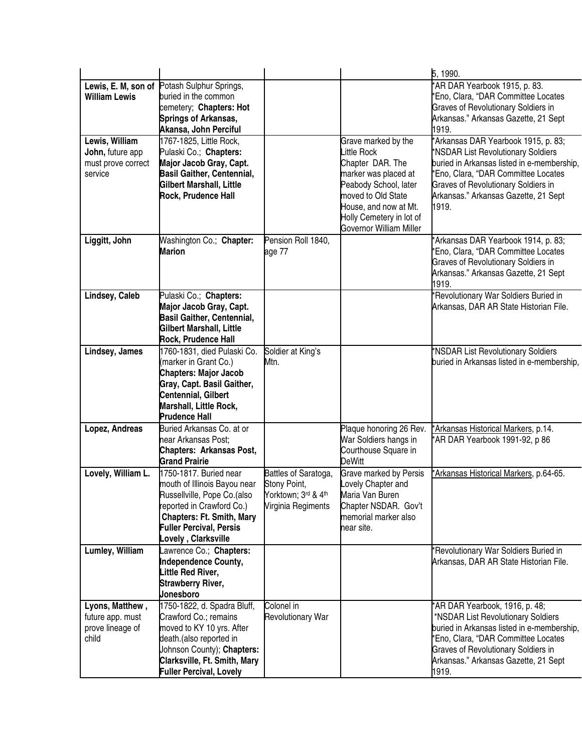|                                                                     |                                                                                                                                                                                                                 |                                                                                   |                                                                                                                                                                                                               | 5, 1990.                                                                                                                                                                                                                                                      |
|---------------------------------------------------------------------|-----------------------------------------------------------------------------------------------------------------------------------------------------------------------------------------------------------------|-----------------------------------------------------------------------------------|---------------------------------------------------------------------------------------------------------------------------------------------------------------------------------------------------------------|---------------------------------------------------------------------------------------------------------------------------------------------------------------------------------------------------------------------------------------------------------------|
| <b>William Lewis</b>                                                | Lewis, E. M, son of Potash Sulphur Springs,<br>buried in the common<br>cemetery; Chapters: Hot<br><b>Springs of Arkansas,</b><br>Akansa, John Perciful                                                          |                                                                                   |                                                                                                                                                                                                               | *AR DAR Yearbook 1915, p. 83.<br>*Eno, Clara, "DAR Committee Locates<br><b>Graves of Revolutionary Soldiers in</b><br>Arkansas." Arkansas Gazette, 21 Sept<br>1919.                                                                                           |
| Lewis, William<br>John, future app<br>must prove correct<br>service | 1767-1825, Little Rock,<br>Pulaski Co.; Chapters:<br>Major Jacob Gray, Capt.<br><b>Basil Gaither, Centennial,</b><br>Gilbert Marshall, Little<br><b>Rock, Prudence Hall</b>                                     |                                                                                   | Grave marked by the<br>Little Rock<br>Chapter DAR. The<br>marker was placed at<br>Peabody School, later<br>moved to Old State<br>House, and now at Mt.<br>Holly Cemetery in lot of<br>Governor William Miller | *Arkansas DAR Yearbook 1915, p. 83;<br>*NSDAR List Revolutionary Soldiers<br>buried in Arkansas listed in e-membership,<br>*Eno, Clara, "DAR Committee Locates<br><b>Graves of Revolutionary Soldiers in</b><br>Arkansas." Arkansas Gazette, 21 Sept<br>1919. |
| Liggitt, John                                                       | Washington Co.; Chapter:<br><b>Marion</b>                                                                                                                                                                       | Pension Roll 1840,<br>age 77                                                      |                                                                                                                                                                                                               | *Arkansas DAR Yearbook 1914, p. 83;<br>*Eno, Clara, "DAR Committee Locates<br><b>Graves of Revolutionary Soldiers in</b><br>Arkansas." Arkansas Gazette, 21 Sept<br>1919.                                                                                     |
| Lindsey, Caleb                                                      | Pulaski Co.; Chapters:<br>Major Jacob Gray, Capt.<br><b>Basil Gaither, Centennial,</b><br>Gilbert Marshall, Little<br>Rock, Prudence Hall                                                                       |                                                                                   |                                                                                                                                                                                                               | 'Revolutionary War Soldiers Buried in<br>Arkansas, DAR AR State Historian File.                                                                                                                                                                               |
| Lindsey, James                                                      | 1760-1831, died Pulaski Co.<br>(marker in Grant Co.)<br><b>Chapters: Major Jacob</b><br>Gray, Capt. Basil Gaither,<br>Centennial, Gilbert<br>Marshall, Little Rock,<br><b>Prudence Hall</b>                     | Soldier at King's<br>Mtn.                                                         |                                                                                                                                                                                                               | *NSDAR List Revolutionary Soldiers<br>buried in Arkansas listed in e-membership,                                                                                                                                                                              |
| Lopez, Andreas                                                      | Buried Arkansas Co. at or<br>near Arkansas Post;<br><b>Chapters: Arkansas Post,</b><br><b>Grand Prairie</b>                                                                                                     |                                                                                   | Plaque honoring 26 Rev.<br>War Soldiers hangs in<br>Courthouse Square in<br><b>DeWitt</b>                                                                                                                     | *Arkansas Historical Markers, p.14.<br>*AR DAR Yearbook 1991-92, p 86                                                                                                                                                                                         |
| Lovely, William L.                                                  | 11750-1817. Buried near<br>mouth of Illinois Bayou near<br>Russellville, Pope Co.(also<br>reported in Crawford Co.)<br><b>Chapters: Ft. Smith, Mary</b><br><b>Fuller Percival, Persis</b><br>ovely, Clarksville | Battles of Saratoga,<br>Stony Point,<br>Yorktown; 3rd & 4th<br>Virginia Regiments | Grave marked by Persis<br>Lovely Chapter and<br>Maria Van Buren<br>Chapter NSDAR. Gov't<br>memorial marker also<br>near site.                                                                                 | Arkansas Historical Markers, p.64-65.                                                                                                                                                                                                                         |
| Lumley, William                                                     | Lawrence Co.; Chapters:<br><b>Independence County,</b><br>Little Red River,<br><b>Strawberry River,</b><br><b>Jonesboro</b>                                                                                     |                                                                                   |                                                                                                                                                                                                               | *Revolutionary War Soldiers Buried in<br>Arkansas, DAR AR State Historian File.                                                                                                                                                                               |
| Lyons, Matthew,<br>future app. must<br>prove lineage of<br>child    | 1750-1822, d. Spadra Bluff,<br>Crawford Co.; remains<br>moved to KY 10 yrs. After<br>death.(also reported in<br>Johnson County); Chapters:<br>Clarksville, Ft. Smith, Mary<br><b>Fuller Percival, Lovely</b>    | Colonel in<br><b>Revolutionary War</b>                                            |                                                                                                                                                                                                               | *AR DAR Yearbook, 1916, p. 48;<br>*NSDAR List Revolutionary Soldiers<br>buried in Arkansas listed in e-membership,<br>*Eno, Clara, "DAR Committee Locates<br><b>Graves of Revolutionary Soldiers in</b><br>Arkansas." Arkansas Gazette, 21 Sept<br>1919.      |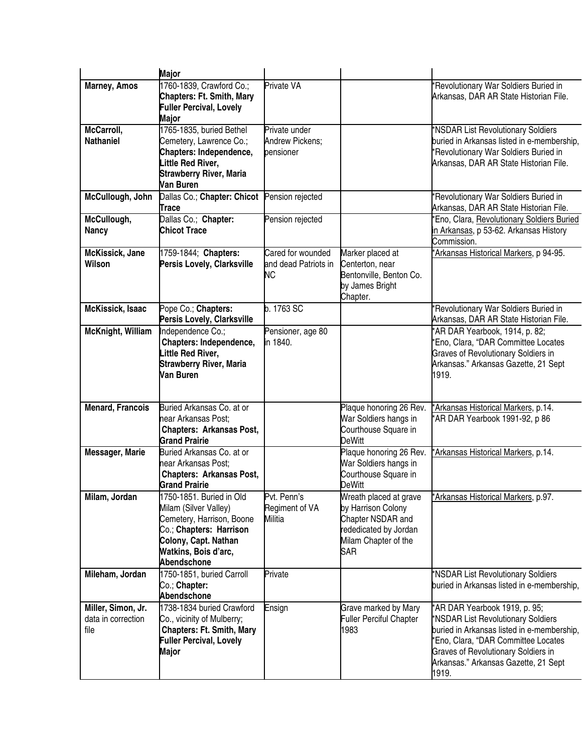|                                                  | <b>Major</b>                                                                                                                                                              |                                                      |                                                                                                                           |                                                                                                                                                                                                                                                  |
|--------------------------------------------------|---------------------------------------------------------------------------------------------------------------------------------------------------------------------------|------------------------------------------------------|---------------------------------------------------------------------------------------------------------------------------|--------------------------------------------------------------------------------------------------------------------------------------------------------------------------------------------------------------------------------------------------|
| <b>Marney, Amos</b>                              | 1760-1839, Crawford Co.;<br><b>Chapters: Ft. Smith, Mary</b><br><b>Fuller Percival, Lovely</b><br>Major                                                                   | Private VA                                           |                                                                                                                           | 'Revolutionary War Soldiers Buried in<br>Arkansas, DAR AR State Historian File.                                                                                                                                                                  |
| McCarroll,<br><b>Nathaniel</b>                   | 1765-1835, buried Bethel<br>Cemetery, Lawrence Co.;<br>Chapters: Independence,<br>Little Red River,<br><b>Strawberry River, Maria</b><br>Van Buren                        | Private under<br><b>Andrew Pickens;</b><br>pensioner |                                                                                                                           | *NSDAR List Revolutionary Soldiers<br>buried in Arkansas listed in e-membership,<br>*Revolutionary War Soldiers Buried in<br>Arkansas, DAR AR State Historian File.                                                                              |
| McCullough, John                                 | Dallas Co.; Chapter: Chicot<br>Trace                                                                                                                                      | Pension rejected                                     |                                                                                                                           | 'Revolutionary War Soldiers Buried in<br>Arkansas, DAR AR State Historian File.                                                                                                                                                                  |
| McCullough,<br><b>Nancy</b>                      | Dallas Co.; Chapter:<br><b>Chicot Trace</b>                                                                                                                               | Pension rejected                                     |                                                                                                                           | 'Eno, Clara, Revolutionary Soldiers Buried<br>in Arkansas, p 53-62. Arkansas History<br>Commission.                                                                                                                                              |
| McKissick, Jane<br>Wilson                        | 1759-1844; Chapters:<br>Persis Lovely, Clarksville                                                                                                                        | Cared for wounded<br>and dead Patriots in<br>NC      | Marker placed at<br>Centerton, near<br>Bentonville, Benton Co.<br>by James Bright<br>Chapter.                             | *Arkansas Historical Markers, p 94-95.                                                                                                                                                                                                           |
| McKissick, Isaac                                 | Pope Co.; Chapters:<br>Persis Lovely, Clarksville                                                                                                                         | b. 1763 SC                                           |                                                                                                                           | 'Revolutionary War Soldiers Buried in<br>Arkansas, DAR AR State Historian File.                                                                                                                                                                  |
| <b>McKnight, William</b>                         | Independence Co.;<br>Chapters: Independence,<br>Little Red River,<br><b>Strawberry River, Maria</b><br>Van Buren                                                          | Pensioner, age 80<br>in 1840.                        |                                                                                                                           | 'AR DAR Yearbook, 1914, p. 82;<br>*Eno, Clara, "DAR Committee Locates<br><b>Graves of Revolutionary Soldiers in</b><br>Arkansas." Arkansas Gazette, 21 Sept<br>1919.                                                                             |
| <b>Menard, Francois</b>                          | Buried Arkansas Co. at or<br>near Arkansas Post;<br><b>Chapters: Arkansas Post,</b><br><b>Grand Prairie</b>                                                               |                                                      | Plaque honoring 26 Rev.<br>War Soldiers hangs in<br>Courthouse Square in<br><b>DeWitt</b>                                 | *Arkansas Historical Markers, p.14.<br>*AR DAR Yearbook 1991-92, p 86                                                                                                                                                                            |
| Messager, Marie                                  | Buried Arkansas Co. at or<br>near Arkansas Post;<br><b>Chapters: Arkansas Post,</b><br><b>Grand Prairie</b>                                                               |                                                      | Plaque honoring 26 Rev.<br>War Soldiers hangs in<br>Courthouse Square in<br><b>DeWitt</b>                                 | *Arkansas Historical Markers, p.14.                                                                                                                                                                                                              |
| Milam, Jordan                                    | l1750-1851. Buried in Old<br>Milam (Silver Valley)<br>Cemetery, Harrison, Boone<br>Co.; Chapters: Harrison<br>Colony, Capt. Nathan<br>Watkins, Bois d'arc,<br>Abendschone | Pvt. Penn's<br>Regiment of VA<br>Militia             | Wreath placed at grave<br>by Harrison Colony<br>Chapter NSDAR and<br>rededicated by Jordan<br>Milam Chapter of the<br>SAR | *Arkansas Historical Markers, p.97.                                                                                                                                                                                                              |
| Mileham, Jordan                                  | 1750-1851, buried Carroll<br>Co.; Chapter:<br>Abendschone                                                                                                                 | Private                                              |                                                                                                                           | *NSDAR List Revolutionary Soldiers<br>buried in Arkansas listed in e-membership,                                                                                                                                                                 |
| Miller, Simon, Jr.<br>data in correction<br>file | 1738-1834 buried Crawford<br>Co., vicinity of Mulberry;<br><b>Chapters: Ft. Smith, Mary</b><br><b>Fuller Percival, Lovely</b><br>Major                                    | Ensign                                               | Grave marked by Mary<br><b>Fuller Perciful Chapter</b><br>1983                                                            | *AR DAR Yearbook 1919, p. 95;<br>*NSDAR List Revolutionary Soldiers<br>buried in Arkansas listed in e-membership,<br>*Eno, Clara, "DAR Committee Locates<br>Graves of Revolutionary Soldiers in<br>Arkansas." Arkansas Gazette, 21 Sept<br>1919. |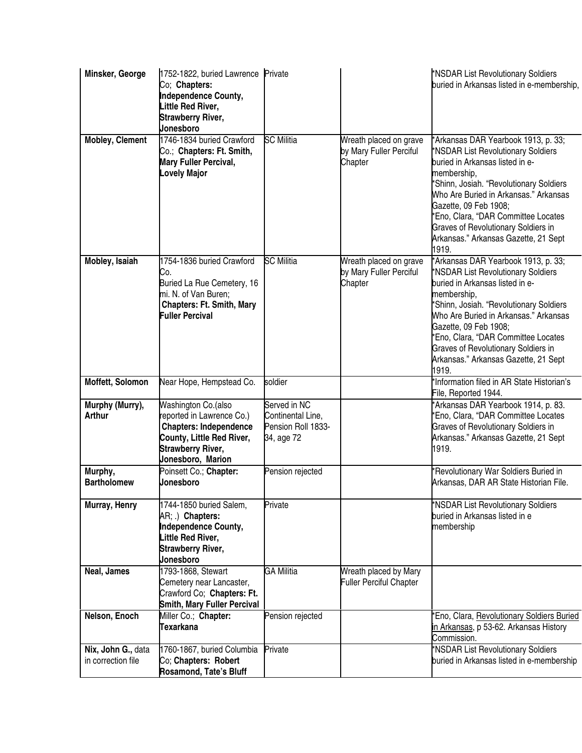| Minsker, George                          | 1752-1822, buried Lawrence Private<br>Co; Chapters:<br><b>Independence County,</b><br>Little Red River,<br><b>Strawberry River,</b><br>Jonesboro                |                                                                       |                                                              | *NSDAR List Revolutionary Soldiers<br>buried in Arkansas listed in e-membership,                                                                                                                                                                                                                                                                                               |
|------------------------------------------|-----------------------------------------------------------------------------------------------------------------------------------------------------------------|-----------------------------------------------------------------------|--------------------------------------------------------------|--------------------------------------------------------------------------------------------------------------------------------------------------------------------------------------------------------------------------------------------------------------------------------------------------------------------------------------------------------------------------------|
| Mobley, Clement                          | 1746-1834 buried Crawford<br>Co.; Chapters: Ft. Smith,<br>Mary Fuller Percival,<br><b>Lovely Major</b>                                                          | <b>SC Militia</b>                                                     | Wreath placed on grave<br>by Mary Fuller Perciful<br>Chapter | *Arkansas DAR Yearbook 1913, p. 33;<br>*NSDAR List Revolutionary Soldiers<br>buried in Arkansas listed in e-<br>membership,<br>*Shinn, Josiah. "Revolutionary Soldiers<br>Who Are Buried in Arkansas." Arkansas<br>Gazette, 09 Feb 1908;<br>*Eno, Clara, "DAR Committee Locates<br><b>Graves of Revolutionary Soldiers in</b><br>Arkansas." Arkansas Gazette, 21 Sept<br>1919. |
| Mobley, Isaiah                           | 1754-1836 buried Crawford<br>Co.<br>Buried La Rue Cemetery, 16<br>mi. N. of Van Buren;<br><b>Chapters: Ft. Smith, Mary</b><br><b>Fuller Percival</b>            | <b>SC Militia</b>                                                     | Wreath placed on grave<br>by Mary Fuller Perciful<br>Chapter | *Arkansas DAR Yearbook 1913, p. 33;<br>*NSDAR List Revolutionary Soldiers<br>buried in Arkansas listed in e-<br>membership,<br>*Shinn, Josiah. "Revolutionary Soldiers<br>Who Are Buried in Arkansas." Arkansas<br>Gazette, 09 Feb 1908;<br>*Eno, Clara, "DAR Committee Locates<br>Graves of Revolutionary Soldiers in<br>Arkansas." Arkansas Gazette, 21 Sept<br>1919.        |
| Moffett, Solomon                         | Near Hope, Hempstead Co.                                                                                                                                        | soldier                                                               |                                                              | *Information filed in AR State Historian's<br>File, Reported 1944.                                                                                                                                                                                                                                                                                                             |
| Murphy (Murry),<br><b>Arthur</b>         | Washington Co.(also<br>reported in Lawrence Co.)<br><b>Chapters: Independence</b><br>County, Little Red River,<br><b>Strawberry River,</b><br>Jonesboro, Marion | Served in NC<br>Continental Line,<br>Pension Roll 1833-<br>34, age 72 |                                                              | 'Arkansas DAR Yearbook 1914, p. 83.<br>*Eno, Clara, "DAR Committee Locates<br>Graves of Revolutionary Soldiers in<br>Arkansas." Arkansas Gazette, 21 Sept<br>1919.                                                                                                                                                                                                             |
| Murphy,<br><b>Bartholomew</b>            | Poinsett Co.; Chapter:<br>Jonesboro                                                                                                                             | Pension rejected                                                      |                                                              | *Revolutionary War Soldiers Buried in<br>Arkansas, DAR AR State Historian File.                                                                                                                                                                                                                                                                                                |
| Murray, Henry                            | 1744-1850 buried Salem,<br>AR; .) Chapters:<br>Independence County,<br>Little Red River,<br><b>Strawberry River,</b><br>Jonesboro                               | Private                                                               |                                                              | *NSDAR List Revolutionary Soldiers<br>buried in Arkansas listed in e<br>membership                                                                                                                                                                                                                                                                                             |
| Neal, James                              | 1793-1868, Stewart<br>Cemetery near Lancaster,<br>Crawford Co; Chapters: Ft.<br><b>Smith, Mary Fuller Percival</b>                                              | <b>GA Militia</b>                                                     | Wreath placed by Mary<br><b>Fuller Perciful Chapter</b>      |                                                                                                                                                                                                                                                                                                                                                                                |
| Nelson, Enoch                            | Miller Co.; Chapter:<br><b>Texarkana</b>                                                                                                                        | Pension rejected                                                      |                                                              | *Eno, Clara, Revolutionary Soldiers Buried<br>in Arkansas, p 53-62. Arkansas History<br>Commission.                                                                                                                                                                                                                                                                            |
| Nix, John G., data<br>in correction file | 1760-1867, buried Columbia<br>Co; Chapters: Robert<br>Rosamond, Tate's Bluff                                                                                    | Private                                                               |                                                              | *NSDAR List Revolutionary Soldiers<br>buried in Arkansas listed in e-membership                                                                                                                                                                                                                                                                                                |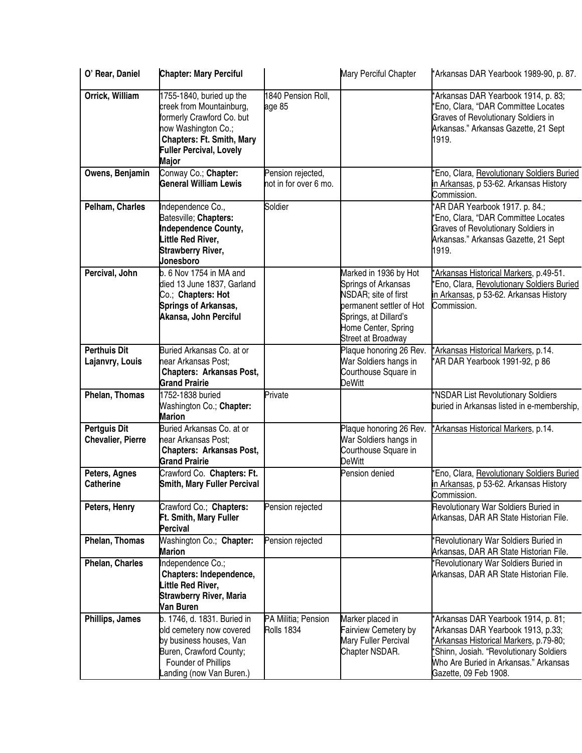| O' Rear, Daniel                                 | <b>Chapter: Mary Perciful</b>                                                                                                                                                                  |                                            | Mary Perciful Chapter                                                                                                                                                  | *Arkansas DAR Yearbook 1989-90, p. 87.                                                                                                                                                                                           |
|-------------------------------------------------|------------------------------------------------------------------------------------------------------------------------------------------------------------------------------------------------|--------------------------------------------|------------------------------------------------------------------------------------------------------------------------------------------------------------------------|----------------------------------------------------------------------------------------------------------------------------------------------------------------------------------------------------------------------------------|
| Orrick, William                                 | 1755-1840, buried up the<br>creek from Mountainburg,<br>formerly Crawford Co. but<br>now Washington Co.;<br><b>Chapters: Ft. Smith, Mary</b><br><b>Fuller Percival, Lovely</b><br><b>Major</b> | 1840 Pension Roll,<br>age 85               |                                                                                                                                                                        | 'Arkansas DAR Yearbook 1914, p. 83;<br>'Eno, Clara, "DAR Committee Locates<br><b>Graves of Revolutionary Soldiers in</b><br>Arkansas." Arkansas Gazette, 21 Sept<br>1919.                                                        |
| Owens, Benjamin                                 | Conway Co.; Chapter:<br><b>General William Lewis</b>                                                                                                                                           | Pension rejected,<br>not in for over 6 mo. |                                                                                                                                                                        | *Eno, Clara, Revolutionary Soldiers Buried<br>in Arkansas, p 53-62. Arkansas History<br>Commission.                                                                                                                              |
| Pelham, Charles                                 | Independence Co.,<br>Batesville; Chapters:<br>Independence County,<br>Little Red River,<br><b>Strawberry River,</b><br>Jonesboro                                                               | Soldier                                    |                                                                                                                                                                        | *AR DAR Yearbook 1917. p. 84.;<br>'Eno, Clara, "DAR Committee Locates<br><b>Graves of Revolutionary Soldiers in</b><br>Arkansas." Arkansas Gazette, 21 Sept<br>1919.                                                             |
| Percival, John                                  | b. 6 Nov 1754 in MA and<br>died 13 June 1837, Garland<br>Co.; Chapters: Hot<br><b>Springs of Arkansas,</b><br>Akansa, John Perciful                                                            |                                            | Marked in 1936 by Hot<br>Springs of Arkansas<br>NSDAR; site of first<br>permanent settler of Hot<br>Springs, at Dillard's<br>Home Center, Spring<br>Street at Broadway | 'Arkansas Historical Markers, p.49-51.<br>Eno, Clara, Revolutionary Soldiers Buried<br>in Arkansas, p 53-62. Arkansas History<br>Commission.                                                                                     |
| <b>Perthuis Dit</b><br>Lajanvry, Louis          | Buried Arkansas Co. at or<br>near Arkansas Post;<br><b>Chapters: Arkansas Post,</b><br><b>Grand Prairie</b>                                                                                    |                                            | Plaque honoring 26 Rev.<br>War Soldiers hangs in<br>Courthouse Square in<br><b>DeWitt</b>                                                                              | *Arkansas Historical Markers, p.14.<br>*AR DAR Yearbook 1991-92, p 86                                                                                                                                                            |
| Phelan, Thomas                                  | 1752-1838 buried<br>Washington Co.; Chapter:<br><b>Marion</b>                                                                                                                                  | Private                                    |                                                                                                                                                                        | *NSDAR List Revolutionary Soldiers<br>buried in Arkansas listed in e-membership,                                                                                                                                                 |
| <b>Pertguis Dit</b><br><b>Chevalier, Pierre</b> | Buried Arkansas Co. at or<br>near Arkansas Post;<br><b>Chapters: Arkansas Post,</b><br><b>Grand Prairie</b>                                                                                    |                                            | Plaque honoring 26 Rev.<br>War Soldiers hangs in<br>Courthouse Square in<br>DeWitt                                                                                     | *Arkansas Historical Markers, p.14.                                                                                                                                                                                              |
| Peters, Agnes<br><b>Catherine</b>               | Crawford Co. Chapters: Ft.<br><b>Smith, Mary Fuller Percival</b>                                                                                                                               |                                            | Pension denied                                                                                                                                                         | Eno, Clara, Revolutionary Soldiers Buried<br>in Arkansas, p 53-62. Arkansas History<br>Commission.                                                                                                                               |
| Peters, Henry                                   | Crawford Co.; Chapters:<br>Ft. Smith, Mary Fuller<br><b>Percival</b>                                                                                                                           | Pension rejected                           |                                                                                                                                                                        | Revolutionary War Soldiers Buried in<br>Arkansas, DAR AR State Historian File.                                                                                                                                                   |
| Phelan, Thomas                                  | Washington Co.; Chapter:<br><b>Marion</b>                                                                                                                                                      | Pension rejected                           |                                                                                                                                                                        | *Revolutionary War Soldiers Buried in<br>Arkansas, DAR AR State Historian File.                                                                                                                                                  |
| Phelan, Charles                                 | Independence Co.;<br>Chapters: Independence,<br>Little Red River,<br><b>Strawberry River, Maria</b><br>Van Buren                                                                               |                                            |                                                                                                                                                                        | *Revolutionary War Soldiers Buried in<br>Arkansas, DAR AR State Historian File.                                                                                                                                                  |
| Phillips, James                                 | b. 1746, d. 1831. Buried in<br>old cemetery now covered<br>by business houses, Van<br>Buren, Crawford County;<br>Founder of Phillips<br>Landing (now Van Buren.)                               | PA Militia; Pension<br><b>Rolls 1834</b>   | Marker placed in<br><b>Fairview Cemetery by</b><br>Mary Fuller Percival<br>Chapter NSDAR.                                                                              | *Arkansas DAR Yearbook 1914, p. 81;<br>*Arkansas DAR Yearbook 1913, p.33;<br>*Arkansas Historical Markers, p.79-80;<br>*Shinn, Josiah. "Revolutionary Soldiers<br>Who Are Buried in Arkansas." Arkansas<br>Gazette, 09 Feb 1908. |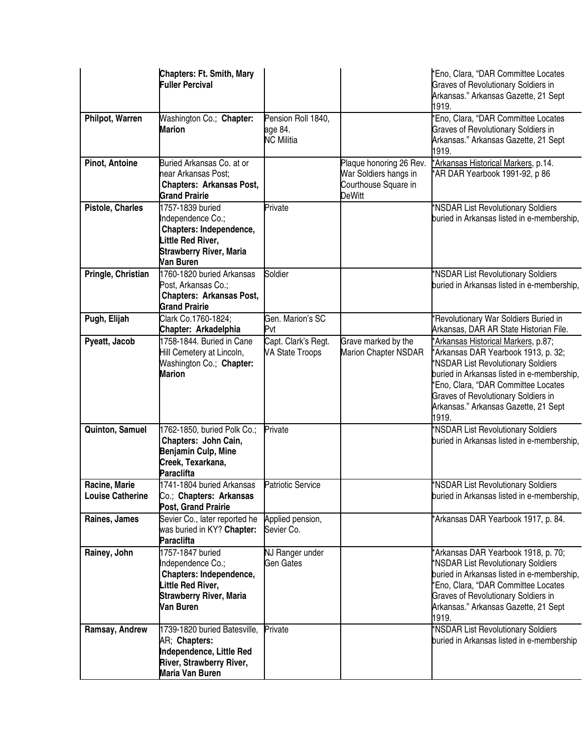|                                          | <b>Chapters: Ft. Smith, Mary</b><br><b>Fuller Percival</b>                                                                           |                                                    |                                                                                           | *Eno, Clara, "DAR Committee Locates<br><b>Graves of Revolutionary Soldiers in</b><br>Arkansas." Arkansas Gazette, 21 Sept<br>1919.                                                                                                                                                                   |
|------------------------------------------|--------------------------------------------------------------------------------------------------------------------------------------|----------------------------------------------------|-------------------------------------------------------------------------------------------|------------------------------------------------------------------------------------------------------------------------------------------------------------------------------------------------------------------------------------------------------------------------------------------------------|
| Philpot, Warren                          | Washington Co.; Chapter:<br><b>Marion</b>                                                                                            | Pension Roll 1840,<br>age 84.<br><b>NC Militia</b> |                                                                                           | *Eno, Clara, "DAR Committee Locates<br><b>Graves of Revolutionary Soldiers in</b><br>Arkansas." Arkansas Gazette, 21 Sept<br>1919.                                                                                                                                                                   |
| Pinot, Antoine                           | Buried Arkansas Co. at or<br>near Arkansas Post;<br><b>Chapters: Arkansas Post,</b><br><b>Grand Prairie</b>                          |                                                    | Plaque honoring 26 Rev.<br>War Soldiers hangs in<br>Courthouse Square in<br><b>DeWitt</b> | *Arkansas Historical Markers, p.14.<br>*AR DAR Yearbook 1991-92, p 86                                                                                                                                                                                                                                |
| Pistole, Charles                         | 1757-1839 buried<br>Independence Co.;<br>Chapters: Independence,<br>.ittle Red River,<br><b>Strawberry River, Maria</b><br>Van Buren | Private                                            |                                                                                           | *NSDAR List Revolutionary Soldiers<br>buried in Arkansas listed in e-membership,                                                                                                                                                                                                                     |
| Pringle, Christian                       | 1760-1820 buried Arkansas<br>Post, Arkansas Co.;<br><b>Chapters: Arkansas Post,</b><br><b>Grand Prairie</b>                          | Soldier                                            |                                                                                           | *NSDAR List Revolutionary Soldiers<br>buried in Arkansas listed in e-membership,                                                                                                                                                                                                                     |
| Pugh, Elijah                             | Clark Co.1760-1824;<br>Chapter: Arkadelphia                                                                                          | Gen. Marion's SC<br>Pvt                            |                                                                                           | *Revolutionary War Soldiers Buried in<br>Arkansas, DAR AR State Historian File.                                                                                                                                                                                                                      |
| Pyeatt, Jacob                            | 1758-1844. Buried in Cane<br>Hill Cemetery at Lincoln,<br>Washington Co.; Chapter:<br><b>Marion</b>                                  | Capt. Clark's Regt.<br><b>VA State Troops</b>      | Grave marked by the<br><b>Marion Chapter NSDAR</b>                                        | *Arkansas Historical Markers, p.87;<br>*Arkansas DAR Yearbook 1913, p. 32;<br>*NSDAR List Revolutionary Soldiers<br>buried in Arkansas listed in e-membership,<br>*Eno, Clara, "DAR Committee Locates<br><b>Graves of Revolutionary Soldiers in</b><br>Arkansas." Arkansas Gazette, 21 Sept<br>1919. |
| Quinton, Samuel                          | 1762-1850, buried Polk Co.;<br>Chapters: John Cain,<br>Benjamin Culp, Mine<br>Creek, Texarkana,<br>Paraclifta                        | Private                                            |                                                                                           | *NSDAR List Revolutionary Soldiers<br>buried in Arkansas listed in e-membership,                                                                                                                                                                                                                     |
| Racine, Marie<br><b>Louise Catherine</b> | 1741-1804 buried Arkansas<br>Co.; Chapters: Arkansas<br>Post, Grand Prairie                                                          | <b>Patriotic Service</b>                           |                                                                                           | *NSDAR List Revolutionary Soldiers<br>buried in Arkansas listed in e-membership,                                                                                                                                                                                                                     |
| Raines, James                            | Sevier Co., later reported he<br>was buried in KY? Chapter:<br><b>Paraclifta</b>                                                     | Applied pension,<br>Sevier Co.                     |                                                                                           | *Arkansas DAR Yearbook 1917, p. 84.                                                                                                                                                                                                                                                                  |
| Rainey, John                             | 1757-1847 buried<br>Independence Co.;<br>Chapters: Independence,<br>Little Red River,<br><b>Strawberry River, Maria</b><br>Van Buren | NJ Ranger under<br>Gen Gates                       |                                                                                           | *Arkansas DAR Yearbook 1918, p. 70;<br>*NSDAR List Revolutionary Soldiers<br>buried in Arkansas listed in e-membership,<br>*Eno, Clara, "DAR Committee Locates<br><b>Graves of Revolutionary Soldiers in</b><br>Arkansas." Arkansas Gazette, 21 Sept<br>1919.                                        |
| Ramsay, Andrew                           | 1739-1820 buried Batesville,<br>AR; Chapters:<br>Independence, Little Red<br>River, Strawberry River,<br>Maria Van Buren             | Private                                            |                                                                                           | *NSDAR List Revolutionary Soldiers<br>buried in Arkansas listed in e-membership                                                                                                                                                                                                                      |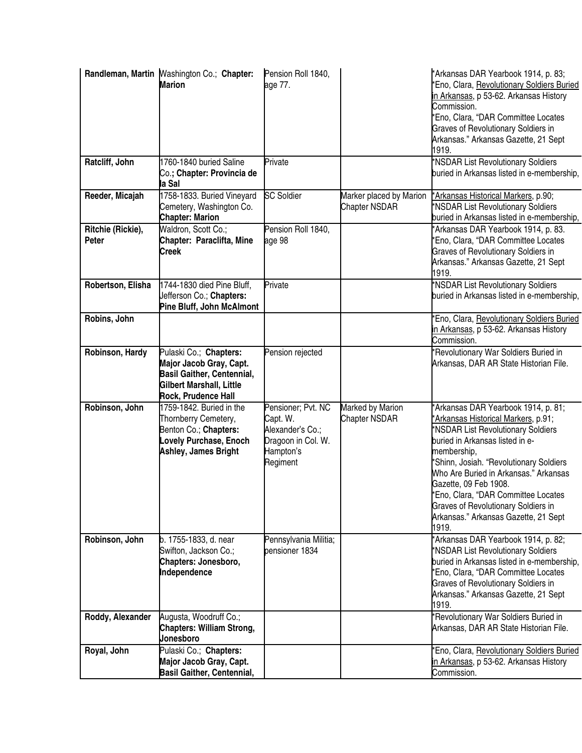|                            | Randleman, Martin Mashington Co.; Chapter:<br><b>Marion</b>                                                                               | Pension Roll 1840,<br>age 77.                                                                     |                                                 | *Arkansas DAR Yearbook 1914, p. 83;<br>*Eno, Clara, Revolutionary Soldiers Buried<br>in Arkansas, p 53-62. Arkansas History<br>Commission.<br>*Eno, Clara, "DAR Committee Locates<br><b>Graves of Revolutionary Soldiers in</b><br>Arkansas." Arkansas Gazette, 21 Sept<br>1919.                                                                                                                                    |
|----------------------------|-------------------------------------------------------------------------------------------------------------------------------------------|---------------------------------------------------------------------------------------------------|-------------------------------------------------|---------------------------------------------------------------------------------------------------------------------------------------------------------------------------------------------------------------------------------------------------------------------------------------------------------------------------------------------------------------------------------------------------------------------|
| Ratcliff, John             | 1760-1840 buried Saline<br>Co.; Chapter: Provincia de<br>la Sal                                                                           | Private                                                                                           |                                                 | *NSDAR List Revolutionary Soldiers<br>buried in Arkansas listed in e-membership,                                                                                                                                                                                                                                                                                                                                    |
| Reeder, Micajah            | 1758-1833. Buried Vineyard<br>Cemetery, Washington Co.<br><b>Chapter: Marion</b>                                                          | <b>SC Soldier</b>                                                                                 | Marker placed by Marion<br><b>Chapter NSDAR</b> | *Arkansas Historical Markers, p.90;<br>*NSDAR List Revolutionary Soldiers<br>buried in Arkansas listed in e-membership,                                                                                                                                                                                                                                                                                             |
| Ritchie (Rickie),<br>Peter | Waldron, Scott Co.;<br>Chapter: Paraclifta, Mine<br><b>Creek</b>                                                                          | Pension Roll 1840,<br>age 98                                                                      |                                                 | 'Arkansas DAR Yearbook 1914, p. 83.<br>'Eno, Clara, "DAR Committee Locates<br><b>Graves of Revolutionary Soldiers in</b><br>Arkansas." Arkansas Gazette, 21 Sept<br>1919.                                                                                                                                                                                                                                           |
| Robertson, Elisha          | 1744-1830 died Pine Bluff,<br>Jefferson Co.; Chapters:<br>Pine Bluff, John McAlmont                                                       | Private                                                                                           |                                                 | *NSDAR List Revolutionary Soldiers<br>buried in Arkansas listed in e-membership,                                                                                                                                                                                                                                                                                                                                    |
| Robins, John               |                                                                                                                                           |                                                                                                   |                                                 | Eno, Clara, Revolutionary Soldiers Buried<br>in Arkansas, p 53-62. Arkansas History<br>Commission.                                                                                                                                                                                                                                                                                                                  |
| Robinson, Hardy            | Pulaski Co.; Chapters:<br>Major Jacob Gray, Capt.<br><b>Basil Gaither, Centennial,</b><br>Gilbert Marshall, Little<br>Rock, Prudence Hall | Pension rejected                                                                                  |                                                 | *Revolutionary War Soldiers Buried in<br>Arkansas, DAR AR State Historian File.                                                                                                                                                                                                                                                                                                                                     |
| Robinson, John             | 1759-1842. Buried in the<br>Thornberry Cemetery,<br>Benton Co.; Chapters:<br>Lovely Purchase, Enoch<br>Ashley, James Bright               | Pensioner; Pvt. NC<br>Capt. W.<br>Alexander's Co.;<br>Dragoon in Col. W.<br>Hampton's<br>Regiment | Marked by Marion<br><b>Chapter NSDAR</b>        | Arkansas DAR Yearbook 1914, p. 81;<br>'Arkansas Historical Markers, p.91;<br>*NSDAR List Revolutionary Soldiers<br>buried in Arkansas listed in e-<br>membership,<br>*Shinn, Josiah. "Revolutionary Soldiers<br>Who Are Buried in Arkansas." Arkansas<br>Gazette, 09 Feb 1908.<br>Eno, Clara, "DAR Committee Locates<br><b>Graves of Revolutionary Soldiers in</b><br>Arkansas." Arkansas Gazette, 21 Sept<br>1919. |
| Robinson, John             | b. 1755-1833, d. near<br>Swifton, Jackson Co.;<br>Chapters: Jonesboro,<br>Independence                                                    | Pennsylvania Militia;<br>pensioner 1834                                                           |                                                 | *Arkansas DAR Yearbook 1914, p. 82;<br>*NSDAR List Revolutionary Soldiers<br>buried in Arkansas listed in e-membership,<br>*Eno, Clara, "DAR Committee Locates<br><b>Graves of Revolutionary Soldiers in</b><br>Arkansas." Arkansas Gazette, 21 Sept<br>1919.                                                                                                                                                       |
| Roddy, Alexander           | Augusta, Woodruff Co.;<br>Chapters: William Strong,<br>Jonesboro                                                                          |                                                                                                   |                                                 | *Revolutionary War Soldiers Buried in<br>Arkansas, DAR AR State Historian File.                                                                                                                                                                                                                                                                                                                                     |
| Royal, John                | Pulaski Co.; Chapters:<br>Major Jacob Gray, Capt.<br><b>Basil Gaither, Centennial,</b>                                                    |                                                                                                   |                                                 | Eno, Clara, Revolutionary Soldiers Buried<br>in Arkansas, p 53-62. Arkansas History<br>Commission.                                                                                                                                                                                                                                                                                                                  |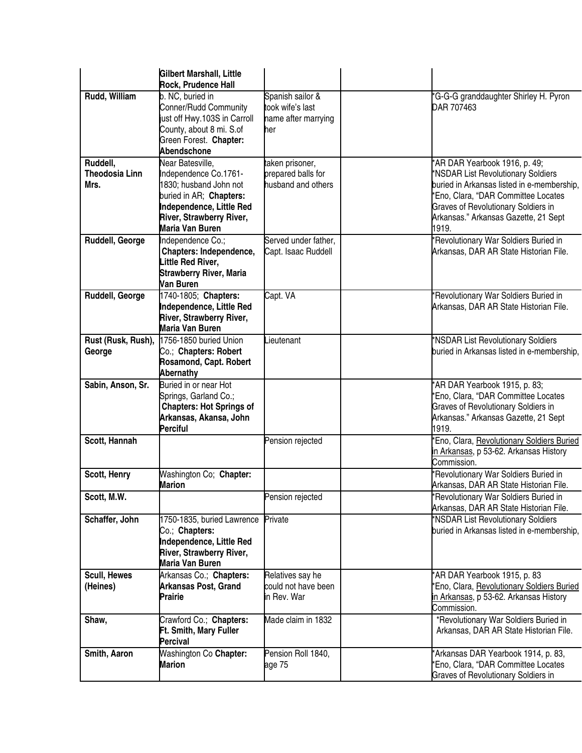|                                           | <b>Gilbert Marshall, Little</b><br><b>Rock, Prudence Hall</b>                                                                                                             |                                                                    |                                                                                                                                                                                                                                                         |
|-------------------------------------------|---------------------------------------------------------------------------------------------------------------------------------------------------------------------------|--------------------------------------------------------------------|---------------------------------------------------------------------------------------------------------------------------------------------------------------------------------------------------------------------------------------------------------|
| Rudd, William                             | b. NC, buried in<br>Conner/Rudd Community<br>ust off Hwy.103S in Carroll<br>County, about 8 mi. S.of<br>Green Forest. Chapter:<br>Abendschone                             | Spanish sailor &<br>took wife's last<br>name after marrying<br>her | *G-G-G granddaughter Shirley H. Pyron<br>DAR 707463                                                                                                                                                                                                     |
| Ruddell,<br><b>Theodosia Linn</b><br>Mrs. | Near Batesville,<br>Independence Co.1761-<br>1830; husband John not<br>buried in AR; Chapters:<br>Independence, Little Red<br>River, Strawberry River,<br>Maria Van Buren | aken prisoner,<br>prepared balls for<br>nusband and others         | *AR DAR Yearbook 1916, p. 49;<br>*NSDAR List Revolutionary Soldiers<br>buried in Arkansas listed in e-membership,<br>*Eno, Clara, "DAR Committee Locates<br><b>Graves of Revolutionary Soldiers in</b><br>Arkansas." Arkansas Gazette, 21 Sept<br>1919. |
| Ruddell, George                           | Independence Co.;<br>Chapters: Independence,<br>Little Red River,<br><b>Strawberry River, Maria</b><br>Van Buren                                                          | Served under father,<br>Capt. Isaac Ruddell                        | *Revolutionary War Soldiers Buried in<br>Arkansas, DAR AR State Historian File.                                                                                                                                                                         |
| Ruddell, George                           | 1740-1805; Chapters:<br>Independence, Little Red<br>River, Strawberry River,<br>Maria Van Buren                                                                           | Capt. VA                                                           | *Revolutionary War Soldiers Buried in<br>Arkansas, DAR AR State Historian File.                                                                                                                                                                         |
| Rust (Rusk, Rush),<br>George              | 1756-1850 buried Union<br>Co.; Chapters: Robert<br>Rosamond, Capt. Robert<br>Abernathy                                                                                    | ieutenant                                                          | *NSDAR List Revolutionary Soldiers<br>buried in Arkansas listed in e-membership,                                                                                                                                                                        |
| Sabin, Anson, Sr.                         | Buried in or near Hot<br>Springs, Garland Co.;<br><b>Chapters: Hot Springs of</b><br>Arkansas, Akansa, John<br><b>Perciful</b>                                            |                                                                    | *AR DAR Yearbook 1915, p. 83;<br>*Eno, Clara, "DAR Committee Locates<br><b>Graves of Revolutionary Soldiers in</b><br>Arkansas." Arkansas Gazette, 21 Sept<br>1919.                                                                                     |
| Scott, Hannah                             |                                                                                                                                                                           | Pension rejected                                                   | *Eno, Clara, Revolutionary Soldiers Buried<br>in Arkansas, p 53-62. Arkansas History<br>Commission.                                                                                                                                                     |
| Scott, Henry                              | Washington Co; Chapter:<br><b>Marion</b>                                                                                                                                  |                                                                    | *Revolutionary War Soldiers Buried in<br>Arkansas, DAR AR State Historian File.                                                                                                                                                                         |
| Scott, M.W.                               |                                                                                                                                                                           | Pension rejected                                                   | *Revolutionary War Soldiers Buried in<br>Arkansas, DAR AR State Historian File.                                                                                                                                                                         |
| Schaffer, John                            | 1750-1835, buried Lawrence<br>Co.; Chapters:<br>Independence, Little Red<br>River, Strawberry River,<br>Maria Van Buren                                                   | Private                                                            | *NSDAR List Revolutionary Soldiers<br>buried in Arkansas listed in e-membership,                                                                                                                                                                        |
| Scull, Hewes<br>(Heines)                  | Arkansas Co.; Chapters:<br><b>Arkansas Post, Grand</b><br>Prairie                                                                                                         | Relatives say he<br>could not have been<br>in Rev. War             | *AR DAR Yearbook 1915, p. 83<br>*Eno, Clara, Revolutionary Soldiers Buried<br>in Arkansas, p 53-62. Arkansas History<br>Commission.                                                                                                                     |
| Shaw,                                     | Crawford Co.; Chapters:<br>Ft. Smith, Mary Fuller<br>Percival                                                                                                             | Made claim in 1832                                                 | *Revolutionary War Soldiers Buried in<br>Arkansas, DAR AR State Historian File.                                                                                                                                                                         |
| Smith, Aaron                              | Washington Co Chapter:<br><b>Marion</b>                                                                                                                                   | Pension Roll 1840,<br>age 75                                       | *Arkansas DAR Yearbook 1914, p. 83,<br>*Eno, Clara, "DAR Committee Locates<br><b>Graves of Revolutionary Soldiers in</b>                                                                                                                                |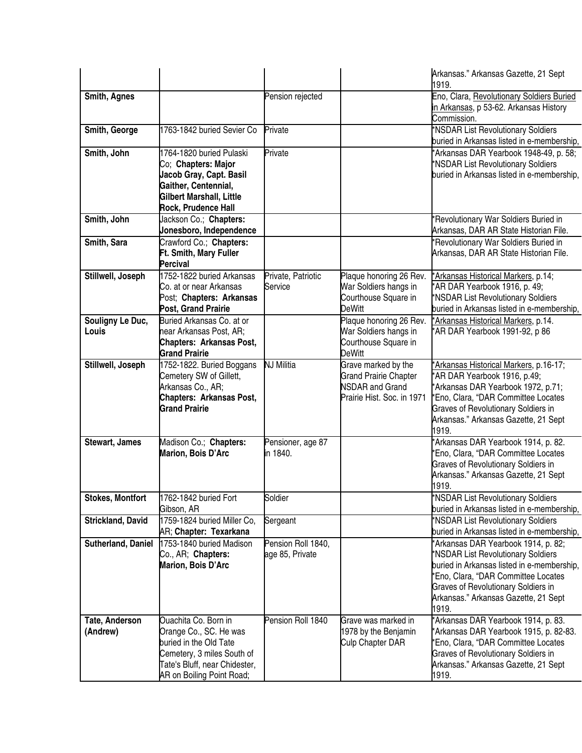|                            |                                                                                                                                                                      |                                       |                                                                                                             | Arkansas." Arkansas Gazette, 21 Sept<br>1919.                                                                                                                                                                                                                 |
|----------------------------|----------------------------------------------------------------------------------------------------------------------------------------------------------------------|---------------------------------------|-------------------------------------------------------------------------------------------------------------|---------------------------------------------------------------------------------------------------------------------------------------------------------------------------------------------------------------------------------------------------------------|
| Smith, Agnes               |                                                                                                                                                                      | Pension rejected                      |                                                                                                             | Eno, Clara, Revolutionary Soldiers Buried<br>in Arkansas, p 53-62. Arkansas History<br>Commission.                                                                                                                                                            |
| Smith, George              | 1763-1842 buried Sevier Co                                                                                                                                           | Private                               |                                                                                                             | *NSDAR List Revolutionary Soldiers<br>buried in Arkansas listed in e-membership,                                                                                                                                                                              |
| Smith, John                | 1764-1820 buried Pulaski<br>Co; Chapters: Major<br>Jacob Gray, Capt. Basil<br>Gaither, Centennial,<br>Gilbert Marshall, Little<br>Rock, Prudence Hall                | Private                               |                                                                                                             | *Arkansas DAR Yearbook 1948-49, p. 58;<br>*NSDAR List Revolutionary Soldiers<br>buried in Arkansas listed in e-membership,                                                                                                                                    |
| Smith, John                | Jackson Co.; Chapters:<br>Jonesboro, Independence                                                                                                                    |                                       |                                                                                                             | *Revolutionary War Soldiers Buried in<br>Arkansas, DAR AR State Historian File.                                                                                                                                                                               |
| Smith, Sara                | Crawford Co.; Chapters:<br>Ft. Smith, Mary Fuller<br><b>Percival</b>                                                                                                 |                                       |                                                                                                             | *Revolutionary War Soldiers Buried in<br>Arkansas, DAR AR State Historian File.                                                                                                                                                                               |
| Stillwell, Joseph          | 1752-1822 buried Arkansas<br>Co. at or near Arkansas<br>Post; Chapters: Arkansas<br>Post, Grand Prairie                                                              | Private, Patriotic<br>Service         | Plaque honoring 26 Rev.<br>War Soldiers hangs in<br>Courthouse Square in<br><b>DeWitt</b>                   | *Arkansas Historical Markers, p.14;<br>*AR DAR Yearbook 1916, p. 49;<br>*NSDAR List Revolutionary Soldiers<br>buried in Arkansas listed in e-membership,                                                                                                      |
| Souligny Le Duc,<br>Louis  | Buried Arkansas Co. at or<br>near Arkansas Post, AR;<br>Chapters: Arkansas Post,<br><b>Grand Prairie</b>                                                             |                                       | Plaque honoring 26 Rev.<br>War Soldiers hangs in<br>Courthouse Square in<br><b>DeWitt</b>                   | *Arkansas Historical Markers, p.14.<br>*AR DAR Yearbook 1991-92, p 86                                                                                                                                                                                         |
| Stillwell, Joseph          | 1752-1822. Buried Boggans<br>Cemetery SW of Gillett,<br>Arkansas Co., AR;<br>Chapters: Arkansas Post,<br><b>Grand Prairie</b>                                        | NJ Militia                            | Grave marked by the<br><b>Grand Prairie Chapter</b><br><b>NSDAR and Grand</b><br>Prairie Hist. Soc. in 1971 | 'Arkansas Historical Markers, p.16-17;<br>'AR DAR Yearbook 1916, p.49;<br>*Arkansas DAR Yearbook 1972, p.71;<br>*Eno, Clara, "DAR Committee Locates<br><b>Graves of Revolutionary Soldiers in</b><br>Arkansas." Arkansas Gazette, 21 Sept<br>1919.            |
| Stewart, James             | Madison Co.; Chapters:<br>Marion, Bois D'Arc                                                                                                                         | Pensioner, age 87<br>in 1840.         |                                                                                                             | *Arkansas DAR Yearbook 1914, p. 82.<br>'Eno, Clara, "DAR Committee Locates<br><b>Graves of Revolutionary Soldiers in</b><br>Arkansas." Arkansas Gazette, 21 Sept<br>1919.                                                                                     |
| <b>Stokes, Montfort</b>    | 1762-1842 buried Fort<br>Gibson, AR                                                                                                                                  | Soldier                               |                                                                                                             | *NSDAR List Revolutionary Soldiers<br>buried in Arkansas listed in e-membership,                                                                                                                                                                              |
| <b>Strickland, David</b>   | 1759-1824 buried Miller Co,<br>AR; Chapter: Texarkana                                                                                                                | Sergeant                              |                                                                                                             | *NSDAR List Revolutionary Soldiers<br>buried in Arkansas listed in e-membership,                                                                                                                                                                              |
| Sutherland, Daniel         | 1753-1840 buried Madison<br>Co., AR; Chapters:<br>Marion, Bois D'Arc                                                                                                 | Pension Roll 1840,<br>age 85, Private |                                                                                                             | *Arkansas DAR Yearbook 1914, p. 82;<br>*NSDAR List Revolutionary Soldiers<br>buried in Arkansas listed in e-membership,<br>*Eno, Clara, "DAR Committee Locates<br><b>Graves of Revolutionary Soldiers in</b><br>Arkansas." Arkansas Gazette, 21 Sept<br>1919. |
| Tate, Anderson<br>(Andrew) | Ouachita Co. Born in<br>Orange Co., SC. He was<br>buried in the Old Tate<br>Cemetery, 3 miles South of<br>Tate's Bluff, near Chidester,<br>AR on Boiling Point Road; | Pension Roll 1840                     | Grave was marked in<br>1978 by the Benjamin<br>Culp Chapter DAR                                             | Arkansas DAR Yearbook 1914, p. 83.<br>*Arkansas DAR Yearbook 1915, p. 82-83.<br>'Eno, Clara, "DAR Committee Locates<br><b>Graves of Revolutionary Soldiers in</b><br>Arkansas." Arkansas Gazette, 21 Sept<br>1919.                                            |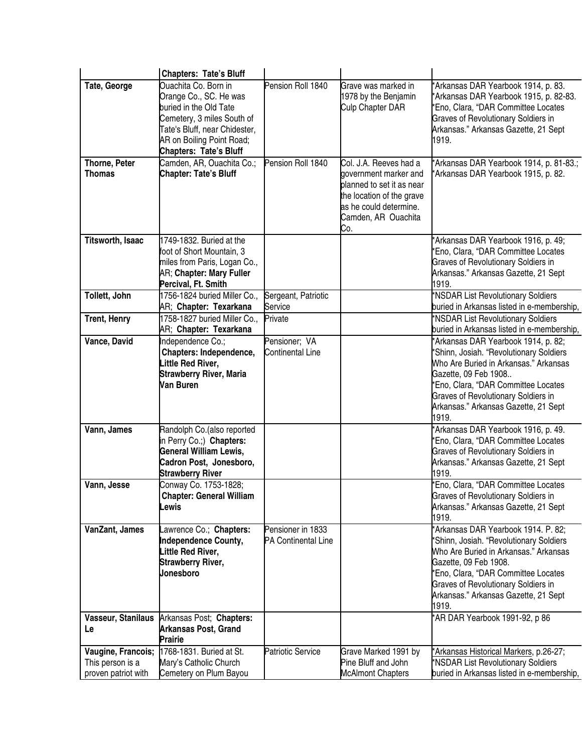|                                                               | <b>Chapters: Tate's Bluff</b>                                                                                                                                                                         |                                                 |                                                                                                                                         |                                                                                                                                                                                                                                                                                        |
|---------------------------------------------------------------|-------------------------------------------------------------------------------------------------------------------------------------------------------------------------------------------------------|-------------------------------------------------|-----------------------------------------------------------------------------------------------------------------------------------------|----------------------------------------------------------------------------------------------------------------------------------------------------------------------------------------------------------------------------------------------------------------------------------------|
| Tate, George                                                  | Quachita Co. Born in<br>Orange Co., SC. He was<br>buried in the Old Tate<br>Cemetery, 3 miles South of<br>Tate's Bluff, near Chidester,<br>AR on Boiling Point Road;<br><b>Chapters: Tate's Bluff</b> | Pension Roll 1840                               | Grave was marked in<br>1978 by the Benjamin<br>Culp Chapter DAR                                                                         | *Arkansas DAR Yearbook 1914, p. 83.<br>*Arkansas DAR Yearbook 1915, p. 82-83.<br>*Eno, Clara, "DAR Committee Locates<br><b>Graves of Revolutionary Soldiers in</b><br>Arkansas." Arkansas Gazette, 21 Sept<br>1919.                                                                    |
| Thorne, Peter                                                 | Camden, AR, Ouachita Co.;                                                                                                                                                                             | Pension Roll 1840                               | Col. J.A. Reeves had a                                                                                                                  | *Arkansas DAR Yearbook 1914, p. 81-83.;                                                                                                                                                                                                                                                |
| <b>Thomas</b>                                                 | Chapter: Tate's Bluff                                                                                                                                                                                 |                                                 | government marker and<br>planned to set it as near<br>the location of the grave<br>as he could determine.<br>Camden, AR Ouachita<br>Co. | 'Arkansas DAR Yearbook 1915, p. 82.                                                                                                                                                                                                                                                    |
| <b>Titsworth, Isaac</b>                                       | 1749-1832. Buried at the<br>foot of Short Mountain, 3<br>miles from Paris, Logan Co.,<br>AR; Chapter: Mary Fuller<br>Percival, Ft. Smith                                                              |                                                 |                                                                                                                                         | *Arkansas DAR Yearbook 1916, p. 49;<br>*Eno, Clara, "DAR Committee Locates<br><b>Graves of Revolutionary Soldiers in</b><br>Arkansas." Arkansas Gazette, 21 Sept<br>1919.                                                                                                              |
| Tollett, John                                                 | 1756-1824 buried Miller Co.,                                                                                                                                                                          | Sergeant, Patriotic<br>Service                  |                                                                                                                                         | *NSDAR List Revolutionary Soldiers                                                                                                                                                                                                                                                     |
| <b>Trent, Henry</b>                                           | AR; Chapter: Texarkana<br>1758-1827 buried Miller Co.,                                                                                                                                                | Private                                         |                                                                                                                                         | buried in Arkansas listed in e-membership,<br>*NSDAR List Revolutionary Soldiers                                                                                                                                                                                                       |
|                                                               | AR; Chapter: Texarkana                                                                                                                                                                                |                                                 |                                                                                                                                         | buried in Arkansas listed in e-membership,                                                                                                                                                                                                                                             |
| Vance, David                                                  | Independence Co.;<br>Chapters: Independence,<br>Little Red River,<br><b>Strawberry River, Maria</b><br>Van Buren                                                                                      | Pensioner; VA<br><b>Continental Line</b>        |                                                                                                                                         | *Arkansas DAR Yearbook 1914, p. 82;<br>*Shinn, Josiah. "Revolutionary Soldiers<br>Who Are Buried in Arkansas." Arkansas<br>Gazette, 09 Feb 1908<br>*Eno, Clara, "DAR Committee Locates<br><b>Graves of Revolutionary Soldiers in</b><br>Arkansas." Arkansas Gazette, 21 Sept<br>1919.  |
| Vann, James                                                   | Randolph Co.(also reported<br>in Perry Co.;) Chapters:<br>General William Lewis,<br>Cadron Post, Jonesboro,<br><b>Strawberry River</b>                                                                |                                                 |                                                                                                                                         | *Arkansas DAR Yearbook 1916, p. 49.<br>*Eno, Clara, "DAR Committee Locates<br><b>Graves of Revolutionary Soldiers in</b><br>Arkansas." Arkansas Gazette, 21 Sept<br>1919.                                                                                                              |
| Vann, Jesse                                                   | Conway Co. 1753-1828;<br><b>Chapter: General William</b><br>Lewis                                                                                                                                     |                                                 |                                                                                                                                         | *Eno, Clara, "DAR Committee Locates<br>Graves of Revolutionary Soldiers in<br>Arkansas." Arkansas Gazette, 21 Sept<br>1919.                                                                                                                                                            |
| VanZant, James                                                | awrence Co.; Chapters:<br><b>Independence County,</b><br>Little Red River,<br><b>Strawberry River,</b><br><b>Jonesboro</b>                                                                            | Pensioner in 1833<br><b>PA Continental Line</b> |                                                                                                                                         | *Arkansas DAR Yearbook 1914. P. 82;<br>*Shinn, Josiah. "Revolutionary Soldiers<br>Who Are Buried in Arkansas." Arkansas<br>Gazette, 09 Feb 1908.<br>*Eno, Clara, "DAR Committee Locates<br><b>Graves of Revolutionary Soldiers in</b><br>Arkansas." Arkansas Gazette, 21 Sept<br>1919. |
| Le                                                            | Vasseur, Stanilaus Arkansas Post; Chapters:<br><b>Arkansas Post, Grand</b><br><b>Prairie</b>                                                                                                          |                                                 |                                                                                                                                         | *AR DAR Yearbook 1991-92, p 86                                                                                                                                                                                                                                                         |
| Vaugine, Francois;<br>This person is a<br>proven patriot with | 1768-1831. Buried at St.<br>Mary's Catholic Church<br>Cemetery on Plum Bayou                                                                                                                          | <b>Patriotic Service</b>                        | Grave Marked 1991 by<br>Pine Bluff and John<br><b>McAlmont Chapters</b>                                                                 | *Arkansas Historical Markers, p.26-27;<br>*NSDAR List Revolutionary Soldiers<br>buried in Arkansas listed in e-membership,                                                                                                                                                             |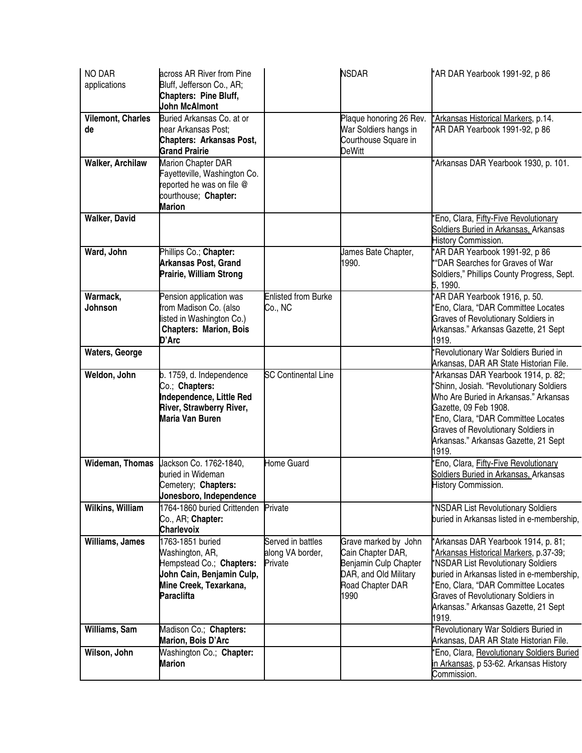| <b>NO DAR</b><br>applications | across AR River from Pine<br>Bluff, Jefferson Co., AR;<br>Chapters: Pine Bluff,<br><b>John McAlmont</b>                                     |                                                  | <b>NSDAR</b>                                                                                                            | *AR DAR Yearbook 1991-92, p 86                                                                                                                                                                                                                                                                          |
|-------------------------------|---------------------------------------------------------------------------------------------------------------------------------------------|--------------------------------------------------|-------------------------------------------------------------------------------------------------------------------------|---------------------------------------------------------------------------------------------------------------------------------------------------------------------------------------------------------------------------------------------------------------------------------------------------------|
| Vilemont, Charles<br>de       | Buried Arkansas Co. at or<br>near Arkansas Post;<br><b>Chapters: Arkansas Post,</b><br><b>Grand Prairie</b>                                 |                                                  | Plaque honoring 26 Rev.<br>War Soldiers hangs in<br>Courthouse Square in<br><b>DeWitt</b>                               | *Arkansas Historical Markers, p.14.<br>AR DAR Yearbook 1991-92, p 86                                                                                                                                                                                                                                    |
| <b>Walker, Archilaw</b>       | Marion Chapter DAR<br>Fayetteville, Washington Co.<br>reported he was on file @<br>courthouse; Chapter:<br><b>Marion</b>                    |                                                  |                                                                                                                         | *Arkansas DAR Yearbook 1930, p. 101.                                                                                                                                                                                                                                                                    |
| <b>Walker, David</b>          |                                                                                                                                             |                                                  |                                                                                                                         | *Eno, Clara, Fifty-Five Revolutionary<br>Soldiers Buried in Arkansas, Arkansas<br>History Commission.                                                                                                                                                                                                   |
| Ward, John                    | Phillips Co.; Chapter:<br><b>Arkansas Post, Grand</b><br>Prairie, William Strong                                                            |                                                  | James Bate Chapter,<br>1990.                                                                                            | AR DAR Yearbook 1991-92, p 86<br>*"DAR Searches for Graves of War<br>Soldiers," Phillips County Progress, Sept.<br>5, 1990.                                                                                                                                                                             |
| Warmack,<br>Johnson           | Pension application was<br>from Madison Co. (also<br>isted in Washington Co.)<br><b>Chapters: Marion, Bois</b><br>D'Arc                     | <b>Enlisted from Burke</b><br>Co., NC            |                                                                                                                         | *AR DAR Yearbook 1916, p. 50.<br>*Eno, Clara, "DAR Committee Locates<br>Graves of Revolutionary Soldiers in<br>Arkansas." Arkansas Gazette, 21 Sept<br>1919.                                                                                                                                            |
| <b>Waters, George</b>         |                                                                                                                                             |                                                  |                                                                                                                         | Revolutionary War Soldiers Buried in<br>Arkansas, DAR AR State Historian File.                                                                                                                                                                                                                          |
| Weldon, John                  | b. 1759, d. Independence<br>Co.; Chapters:<br>Independence, Little Red<br>River, Strawberry River,<br>Maria Van Buren                       | <b>SC Continental Line</b>                       |                                                                                                                         | *Arkansas DAR Yearbook 1914, p. 82;<br>*Shinn, Josiah. "Revolutionary Soldiers<br>Who Are Buried in Arkansas." Arkansas<br>Gazette, 09 Feb 1908.<br>*Eno, Clara, "DAR Committee Locates<br><b>Graves of Revolutionary Soldiers in</b><br>Arkansas." Arkansas Gazette, 21 Sept<br>1919.                  |
|                               | Wideman, Thomas Lackson Co. 1762-1840,<br>buried in Wideman<br>Cemetery; Chapters:<br>Jonesboro, Independence                               | Home Guard                                       |                                                                                                                         | *Eno, Clara, Fifty-Five Revolutionary<br>Soldiers Buried in Arkansas, Arkansas<br>History Commission.                                                                                                                                                                                                   |
| Wilkins, William              | 1764-1860 buried Crittenden<br>Co., AR; Chapter:<br><b>Charlevoix</b>                                                                       | Private                                          |                                                                                                                         | *NSDAR List Revolutionary Soldiers<br>buried in Arkansas listed in e-membership,                                                                                                                                                                                                                        |
| Williams, James               | 1763-1851 buried<br>Washington, AR,<br>Hempstead Co.; Chapters:<br>John Cain, Benjamin Culp,<br>Mine Creek, Texarkana,<br><b>Paraclifta</b> | Served in battles<br>along VA border,<br>Private | Grave marked by John<br>Cain Chapter DAR,<br>Benjamin Culp Chapter<br>DAR, and Old Military<br>Road Chapter DAR<br>1990 | *Arkansas DAR Yearbook 1914, p. 81;<br>*Arkansas Historical Markers, p.37-39;<br>*NSDAR List Revolutionary Soldiers<br>buried in Arkansas listed in e-membership,<br>*Eno, Clara, "DAR Committee Locates<br><b>Graves of Revolutionary Soldiers in</b><br>Arkansas." Arkansas Gazette, 21 Sept<br>1919. |
| Williams, Sam                 | Madison Co.; Chapters:<br>Marion, Bois D'Arc                                                                                                |                                                  |                                                                                                                         | *Revolutionary War Soldiers Buried in<br>Arkansas, DAR AR State Historian File.                                                                                                                                                                                                                         |
| Wilson, John                  | Washington Co.; Chapter:<br><b>Marion</b>                                                                                                   |                                                  |                                                                                                                         | *Eno, Clara, Revolutionary Soldiers Buried<br>in Arkansas, p 53-62. Arkansas History<br>Commission.                                                                                                                                                                                                     |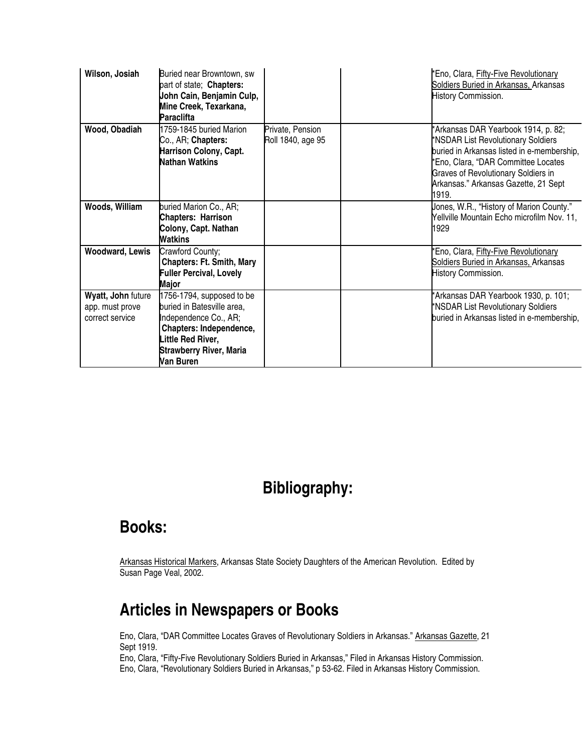| Wilson, Josiah                                           | Buried near Browntown, sw<br>part of state; Chapters:<br>John Cain, Benjamin Culp,<br>Mine Creek, Texarkana,<br>Paraclifta                                                     |                                       | *Eno, Clara, Fifty-Five Revolutionary<br>Soldiers Buried in Arkansas, Arkansas<br>History Commission.                                                                                                                                                         |
|----------------------------------------------------------|--------------------------------------------------------------------------------------------------------------------------------------------------------------------------------|---------------------------------------|---------------------------------------------------------------------------------------------------------------------------------------------------------------------------------------------------------------------------------------------------------------|
| Wood, Obadiah                                            | 1759-1845 buried Marion<br>Co., AR; Chapters:<br><b>Harrison Colony, Capt.</b><br><b>Nathan Watkins</b>                                                                        | Private, Pension<br>Roll 1840, age 95 | *Arkansas DAR Yearbook 1914, p. 82;<br>*NSDAR List Revolutionary Soldiers<br>buried in Arkansas listed in e-membership,<br>*Eno, Clara, "DAR Committee Locates<br><b>Graves of Revolutionary Soldiers in</b><br>Arkansas." Arkansas Gazette, 21 Sept<br>1919. |
| Woods, William                                           | buried Marion Co., AR;<br><b>Chapters: Harrison</b><br>Colony, Capt. Nathan<br><b>Watkins</b>                                                                                  |                                       | Jones, W.R., "History of Marion County."<br>Yellville Mountain Echo microfilm Nov. 11,<br>1929                                                                                                                                                                |
| <b>Woodward, Lewis</b>                                   | Crawford County;<br><b>Chapters: Ft. Smith, Mary</b><br><b>Fuller Percival, Lovely</b><br>Major                                                                                |                                       | Eno, Clara, Fifty-Five Revolutionary<br>Soldiers Buried in Arkansas, Arkansas<br>History Commission.                                                                                                                                                          |
| Wyatt, John future<br>app. must prove<br>correct service | 1756-1794, supposed to be<br>buried in Batesville area,<br>Independence Co., AR;<br>Chapters: Independence,<br>ittle Red River,<br><b>Strawberry River, Maria</b><br>Van Buren |                                       | *Arkansas DAR Yearbook 1930, p. 101;<br>*NSDAR List Revolutionary Soldiers<br>buried in Arkansas listed in e-membership,                                                                                                                                      |

## **Bibliography:**

## **Books:**

Arkansas Historical Markers, Arkansas State Society Daughters of the American Revolution. Edited by Susan Page Veal, 2002.

## **Articles in Newspapers or Books**

Eno, Clara, "DAR Committee Locates Graves of Revolutionary Soldiers in Arkansas." Arkansas Gazette, 21 Sept 1919.

Eno, Clara, "Revolutionary Soldiers Buried in Arkansas," p 53-62. Filed in Arkansas History Commission. Eno, Clara, "Fifty-Five Revolutionary Soldiers Buried in Arkansas," Filed in Arkansas History Commission.